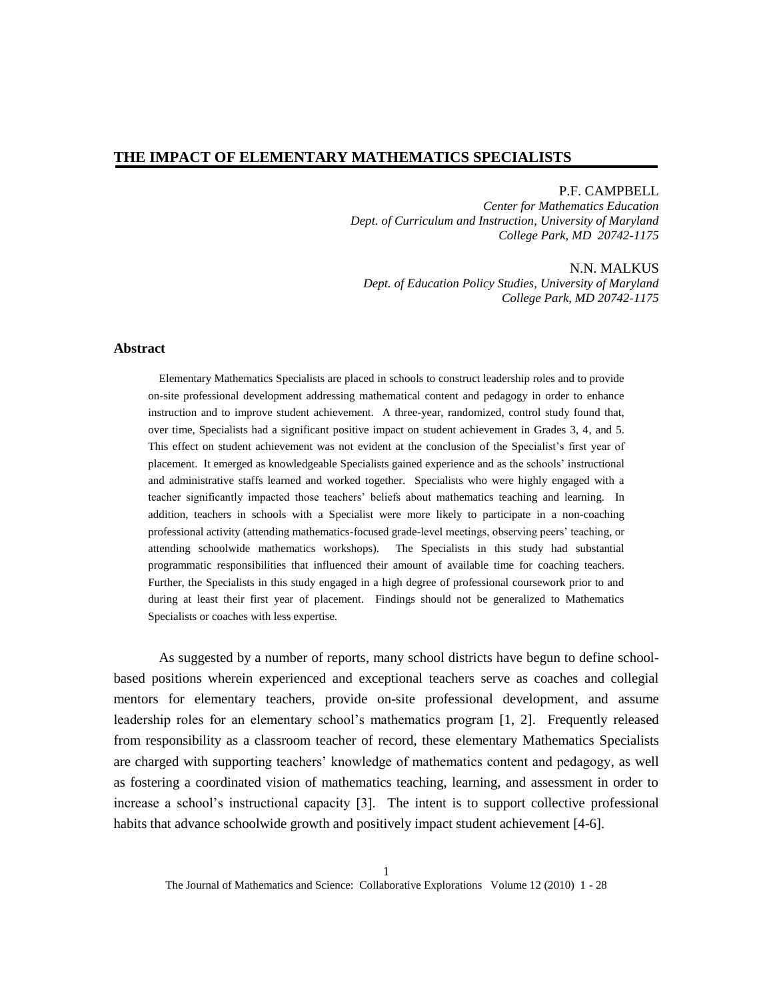### P.F. CAMPBELL

*Center for Mathematics Education Dept. of Curriculum and Instruction, University of Maryland College Park, MD 20742-1175*

N.N. MALKUS *Dept. of Education Policy Studies, University of Maryland College Park, MD 20742-1175*

### **Abstract**

Elementary Mathematics Specialists are placed in schools to construct leadership roles and to provide on-site professional development addressing mathematical content and pedagogy in order to enhance instruction and to improve student achievement. A three-year, randomized, control study found that, over time, Specialists had a significant positive impact on student achievement in Grades 3, 4, and 5. This effect on student achievement was not evident at the conclusion of the Specialist's first year of placement. It emerged as knowledgeable Specialists gained experience and as the schools' instructional and administrative staffs learned and worked together. Specialists who were highly engaged with a teacher significantly impacted those teachers' beliefs about mathematics teaching and learning. In addition, teachers in schools with a Specialist were more likely to participate in a non-coaching professional activity (attending mathematics-focused grade-level meetings, observing peers' teaching, or attending schoolwide mathematics workshops). The Specialists in this study had substantial programmatic responsibilities that influenced their amount of available time for coaching teachers. Further, the Specialists in this study engaged in a high degree of professional coursework prior to and during at least their first year of placement. Findings should not be generalized to Mathematics Specialists or coaches with less expertise.

As suggested by a number of reports, many school districts have begun to define schoolbased positions wherein experienced and exceptional teachers serve as coaches and collegial mentors for elementary teachers, provide on-site professional development, and assume leadership roles for an elementary school's mathematics program [1, 2]. Frequently released from responsibility as a classroom teacher of record, these elementary Mathematics Specialists are charged with supporting teachers' knowledge of mathematics content and pedagogy, as well as fostering a coordinated vision of mathematics teaching, learning, and assessment in order to increase a school's instructional capacity [3]. The intent is to support collective professional habits that advance schoolwide growth and positively impact student achievement [4-6].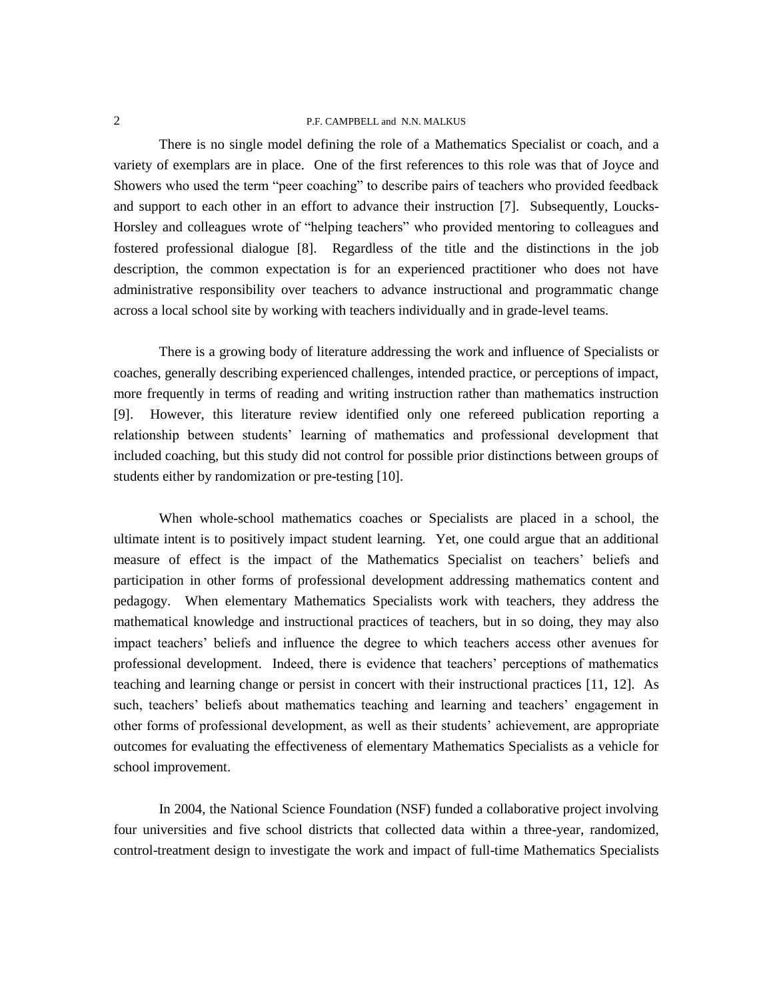There is no single model defining the role of a Mathematics Specialist or coach, and a variety of exemplars are in place. One of the first references to this role was that of Joyce and Showers who used the term "peer coaching" to describe pairs of teachers who provided feedback and support to each other in an effort to advance their instruction [7]. Subsequently, Loucks-Horsley and colleagues wrote of "helping teachers" who provided mentoring to colleagues and fostered professional dialogue [8]. Regardless of the title and the distinctions in the job description, the common expectation is for an experienced practitioner who does not have administrative responsibility over teachers to advance instructional and programmatic change across a local school site by working with teachers individually and in grade-level teams.

There is a growing body of literature addressing the work and influence of Specialists or coaches, generally describing experienced challenges, intended practice, or perceptions of impact, more frequently in terms of reading and writing instruction rather than mathematics instruction [9]. However, this literature review identified only one refereed publication reporting a relationship between students' learning of mathematics and professional development that included coaching, but this study did not control for possible prior distinctions between groups of students either by randomization or pre-testing [10].

When whole-school mathematics coaches or Specialists are placed in a school, the ultimate intent is to positively impact student learning. Yet, one could argue that an additional measure of effect is the impact of the Mathematics Specialist on teachers' beliefs and participation in other forms of professional development addressing mathematics content and pedagogy. When elementary Mathematics Specialists work with teachers, they address the mathematical knowledge and instructional practices of teachers, but in so doing, they may also impact teachers' beliefs and influence the degree to which teachers access other avenues for professional development. Indeed, there is evidence that teachers' perceptions of mathematics teaching and learning change or persist in concert with their instructional practices [11, 12]. As such, teachers' beliefs about mathematics teaching and learning and teachers' engagement in other forms of professional development, as well as their students' achievement, are appropriate outcomes for evaluating the effectiveness of elementary Mathematics Specialists as a vehicle for school improvement.

In 2004, the National Science Foundation (NSF) funded a collaborative project involving four universities and five school districts that collected data within a three-year, randomized, control-treatment design to investigate the work and impact of full-time Mathematics Specialists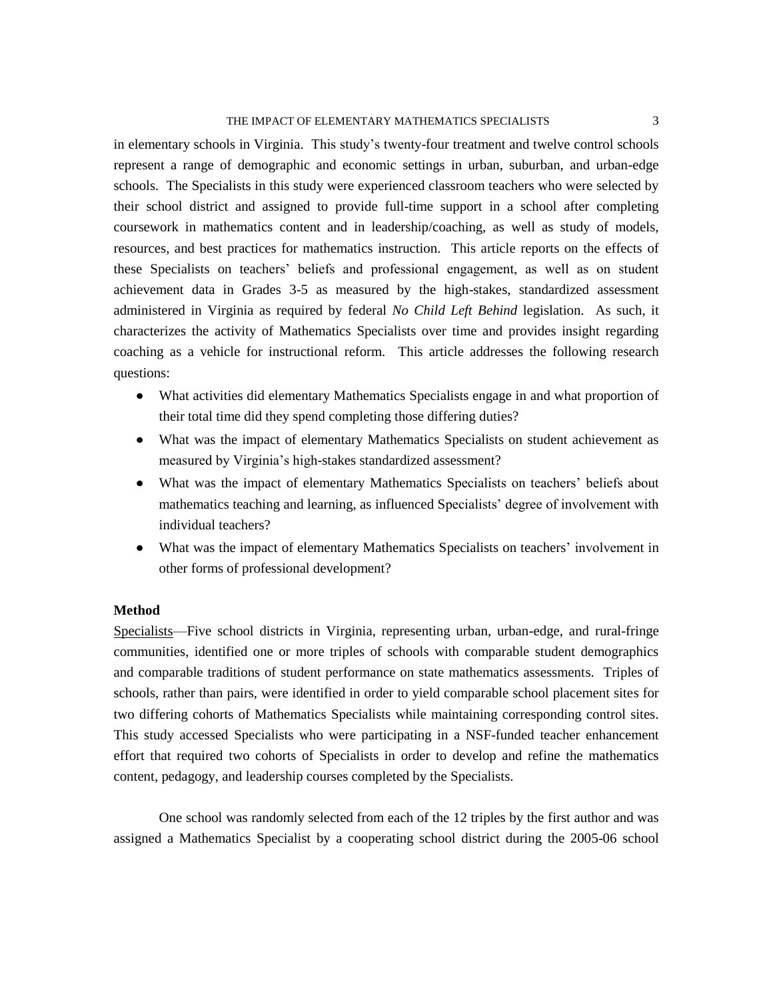in elementary schools in Virginia. This study's twenty-four treatment and twelve control schools represent a range of demographic and economic settings in urban, suburban, and urban-edge schools. The Specialists in this study were experienced classroom teachers who were selected by their school district and assigned to provide full-time support in a school after completing coursework in mathematics content and in leadership/coaching, as well as study of models, resources, and best practices for mathematics instruction. This article reports on the effects of these Specialists on teachers' beliefs and professional engagement, as well as on student achievement data in Grades 3-5 as measured by the high-stakes, standardized assessment administered in Virginia as required by federal *No Child Left Behind* legislation. As such, it characterizes the activity of Mathematics Specialists over time and provides insight regarding coaching as a vehicle for instructional reform. This article addresses the following research questions:

- What activities did elementary Mathematics Specialists engage in and what proportion of their total time did they spend completing those differing duties?
- What was the impact of elementary Mathematics Specialists on student achievement as measured by Virginia's high-stakes standardized assessment?
- What was the impact of elementary Mathematics Specialists on teachers' beliefs about mathematics teaching and learning, as influenced Specialists' degree of involvement with individual teachers?
- What was the impact of elementary Mathematics Specialists on teachers' involvement in other forms of professional development?

# **Method**

Specialists—Five school districts in Virginia, representing urban, urban-edge, and rural-fringe communities, identified one or more triples of schools with comparable student demographics and comparable traditions of student performance on state mathematics assessments. Triples of schools, rather than pairs, were identified in order to yield comparable school placement sites for two differing cohorts of Mathematics Specialists while maintaining corresponding control sites. This study accessed Specialists who were participating in a NSF-funded teacher enhancement effort that required two cohorts of Specialists in order to develop and refine the mathematics content, pedagogy, and leadership courses completed by the Specialists.

One school was randomly selected from each of the 12 triples by the first author and was assigned a Mathematics Specialist by a cooperating school district during the 2005-06 school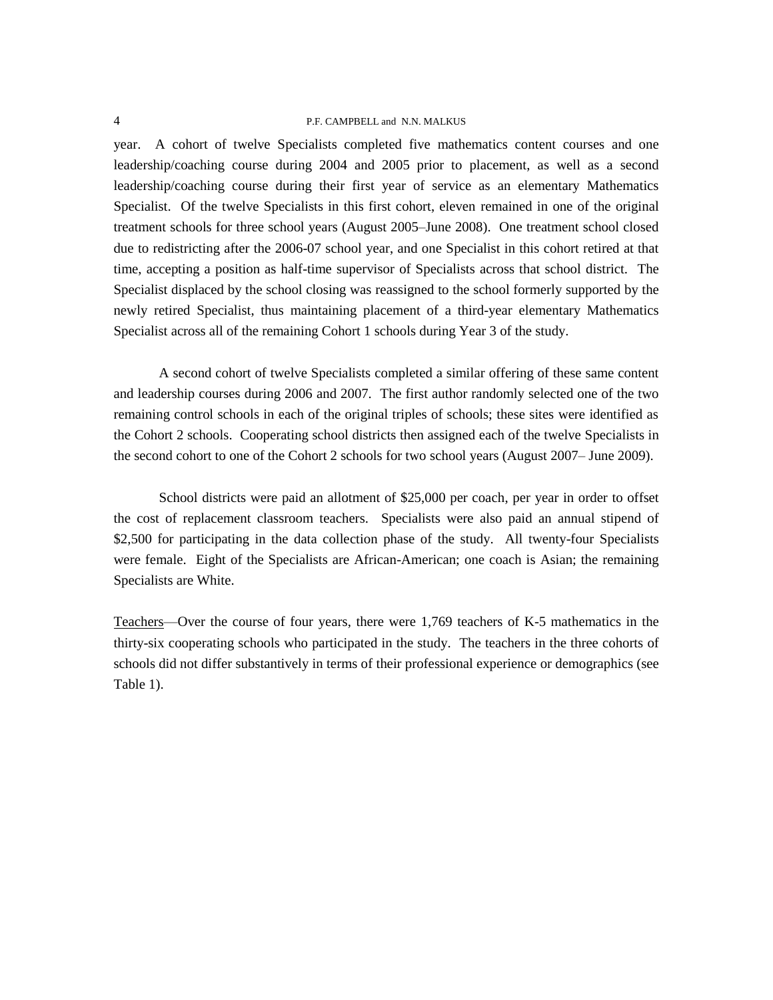year. A cohort of twelve Specialists completed five mathematics content courses and one leadership/coaching course during 2004 and 2005 prior to placement, as well as a second leadership/coaching course during their first year of service as an elementary Mathematics Specialist. Of the twelve Specialists in this first cohort, eleven remained in one of the original treatment schools for three school years (August 2005–June 2008). One treatment school closed due to redistricting after the 2006-07 school year, and one Specialist in this cohort retired at that time, accepting a position as half-time supervisor of Specialists across that school district. The Specialist displaced by the school closing was reassigned to the school formerly supported by the newly retired Specialist, thus maintaining placement of a third-year elementary Mathematics Specialist across all of the remaining Cohort 1 schools during Year 3 of the study.

A second cohort of twelve Specialists completed a similar offering of these same content and leadership courses during 2006 and 2007. The first author randomly selected one of the two remaining control schools in each of the original triples of schools; these sites were identified as the Cohort 2 schools. Cooperating school districts then assigned each of the twelve Specialists in the second cohort to one of the Cohort 2 schools for two school years (August 2007– June 2009).

School districts were paid an allotment of \$25,000 per coach, per year in order to offset the cost of replacement classroom teachers. Specialists were also paid an annual stipend of \$2,500 for participating in the data collection phase of the study. All twenty-four Specialists were female. Eight of the Specialists are African-American; one coach is Asian; the remaining Specialists are White.

Teachers—Over the course of four years, there were 1,769 teachers of K-5 mathematics in the thirty-six cooperating schools who participated in the study. The teachers in the three cohorts of schools did not differ substantively in terms of their professional experience or demographics (see Table 1).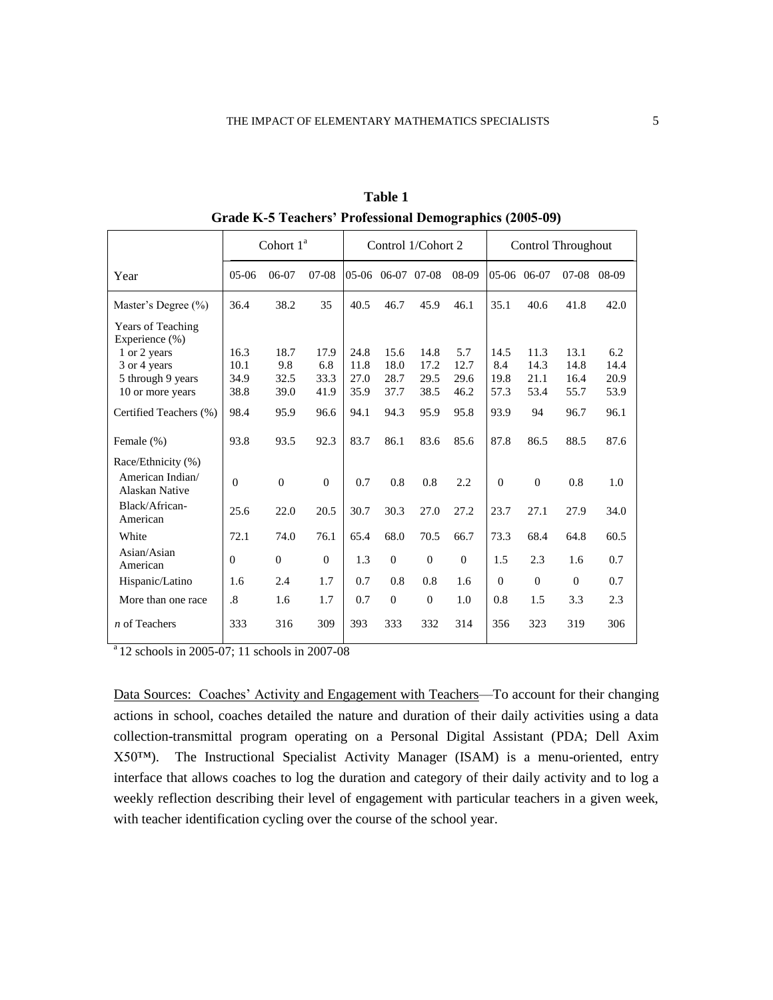|                                            |                      | Cohort 1 <sup>ª</sup> |          |      |                   | Control 1/Cohort 2 |              |                | Control Throughout |              |       |
|--------------------------------------------|----------------------|-----------------------|----------|------|-------------------|--------------------|--------------|----------------|--------------------|--------------|-------|
| Year                                       | $05-06$              | $06-07$               | $07-08$  |      | 05-06 06-07 07-08 |                    | 08-09        | 05-06 06-07    |                    | $07-08$      | 08-09 |
| Master's Degree (%)                        | 36.4                 | 38.2                  | 35       | 40.5 | 46.7              | 45.9               | 46.1         | 35.1           | 40.6               | 41.8         | 42.0  |
| <b>Years of Teaching</b><br>Experience (%) |                      |                       |          |      |                   |                    |              |                |                    |              |       |
| 1 or 2 years                               | 16.3                 | 18.7                  | 17.9     | 24.8 | 15.6              | 14.8               | 5.7          | 14.5           | 11.3               | 13.1         | 6.2   |
| 3 or 4 years                               | 10.1                 | 9.8                   | 6.8      | 11.8 | 18.0              | 17.2               | 12.7         | 8.4            | 14.3               | 14.8         | 14.4  |
| 5 through 9 years                          | 34.9                 | 32.5                  | 33.3     | 27.0 | 28.7              | 29.5               | 29.6         | 19.8           | 21.1               | 16.4         | 20.9  |
| 10 or more years                           | 38.8                 | 39.0                  | 41.9     | 35.9 | 37.7              | 38.5               | 46.2         | 57.3           | 53.4               | 55.7         | 53.9  |
| Certified Teachers (%)                     | 98.4                 | 95.9                  | 96.6     | 94.1 | 94.3              | 95.9               | 95.8         | 93.9           | 94                 | 96.7         | 96.1  |
| Female (%)                                 | 93.8                 | 93.5                  | 92.3     | 83.7 | 86.1              | 83.6               | 85.6         | 87.8           | 86.5               | 88.5         | 87.6  |
| Race/Ethnicity (%)                         |                      |                       |          |      |                   |                    |              |                |                    |              |       |
| American Indian/<br><b>Alaskan Native</b>  | $\theta$             | $\overline{0}$        | $\Omega$ | 0.7  | 0.8               | 0.8                | 2.2          | $\overline{0}$ | $\theta$           | 0.8          | 1.0   |
| Black/African-<br>American                 | 25.6                 | 22.0                  | 20.5     | 30.7 | 30.3              | 27.0               | 27.2         | 23.7           | 27.1               | 27.9         | 34.0  |
| White                                      | 72.1                 | 74.0                  | 76.1     | 65.4 | 68.0              | 70.5               | 66.7         | 73.3           | 68.4               | 64.8         | 60.5  |
| Asian/Asian<br>American                    | $\Omega$             | $\theta$              | $\Omega$ | 1.3  | $\mathbf{0}$      | $\theta$           | $\mathbf{0}$ | 1.5            | 2.3                | 1.6          | 0.7   |
| Hispanic/Latino                            | 1.6                  | 2.4                   | 1.7      | 0.7  | 0.8               | 0.8                | 1.6          | $\Omega$       | $\overline{0}$     | $\mathbf{0}$ | 0.7   |
| More than one race                         | $\cdot$ <sup>8</sup> | 1.6                   | 1.7      | 0.7  | $\mathbf{0}$      | $\theta$           | 1.0          | 0.8            | 1.5                | 3.3          | 2.3   |
| $n$ of Teachers                            | 333                  | 316                   | 309      | 393  | 333               | 332                | 314          | 356            | 323                | 319          | 306   |

**Table 1 Grade K-5 Teachers' Professional Demographics (2005-09)** 

 $a_{12}$  schools in 2005-07; 11 schools in 2007-08

Data Sources: Coaches' Activity and Engagement with Teachers—To account for their changing actions in school, coaches detailed the nature and duration of their daily activities using a data collection-transmittal program operating on a Personal Digital Assistant (PDA; Dell Axim X50™). The Instructional Specialist Activity Manager (ISAM) is a menu-oriented, entry interface that allows coaches to log the duration and category of their daily activity and to log a weekly reflection describing their level of engagement with particular teachers in a given week, with teacher identification cycling over the course of the school year.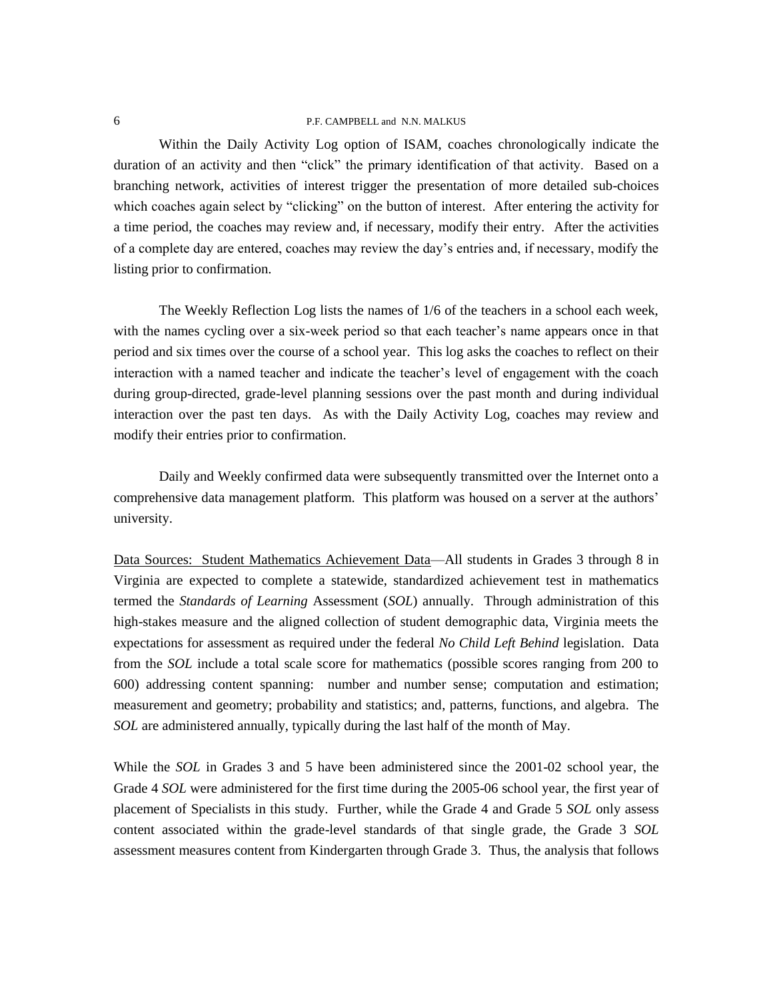Within the Daily Activity Log option of ISAM, coaches chronologically indicate the duration of an activity and then "click" the primary identification of that activity. Based on a branching network, activities of interest trigger the presentation of more detailed sub-choices which coaches again select by "clicking" on the button of interest. After entering the activity for a time period, the coaches may review and, if necessary, modify their entry. After the activities of a complete day are entered, coaches may review the day's entries and, if necessary, modify the listing prior to confirmation.

The Weekly Reflection Log lists the names of 1/6 of the teachers in a school each week, with the names cycling over a six-week period so that each teacher's name appears once in that period and six times over the course of a school year. This log asks the coaches to reflect on their interaction with a named teacher and indicate the teacher's level of engagement with the coach during group-directed, grade-level planning sessions over the past month and during individual interaction over the past ten days. As with the Daily Activity Log, coaches may review and modify their entries prior to confirmation.

Daily and Weekly confirmed data were subsequently transmitted over the Internet onto a comprehensive data management platform. This platform was housed on a server at the authors' university.

Data Sources: Student Mathematics Achievement Data—All students in Grades 3 through 8 in Virginia are expected to complete a statewide, standardized achievement test in mathematics termed the *Standards of Learning* Assessment (*SOL*) annually. Through administration of this high-stakes measure and the aligned collection of student demographic data, Virginia meets the expectations for assessment as required under the federal *No Child Left Behind* legislation. Data from the *SOL* include a total scale score for mathematics (possible scores ranging from 200 to 600) addressing content spanning: number and number sense; computation and estimation; measurement and geometry; probability and statistics; and, patterns, functions, and algebra. The *SOL* are administered annually, typically during the last half of the month of May.

While the *SOL* in Grades 3 and 5 have been administered since the 2001-02 school year, the Grade 4 *SOL* were administered for the first time during the 2005-06 school year, the first year of placement of Specialists in this study. Further, while the Grade 4 and Grade 5 *SOL* only assess content associated within the grade-level standards of that single grade, the Grade 3 *SOL* assessment measures content from Kindergarten through Grade 3. Thus, the analysis that follows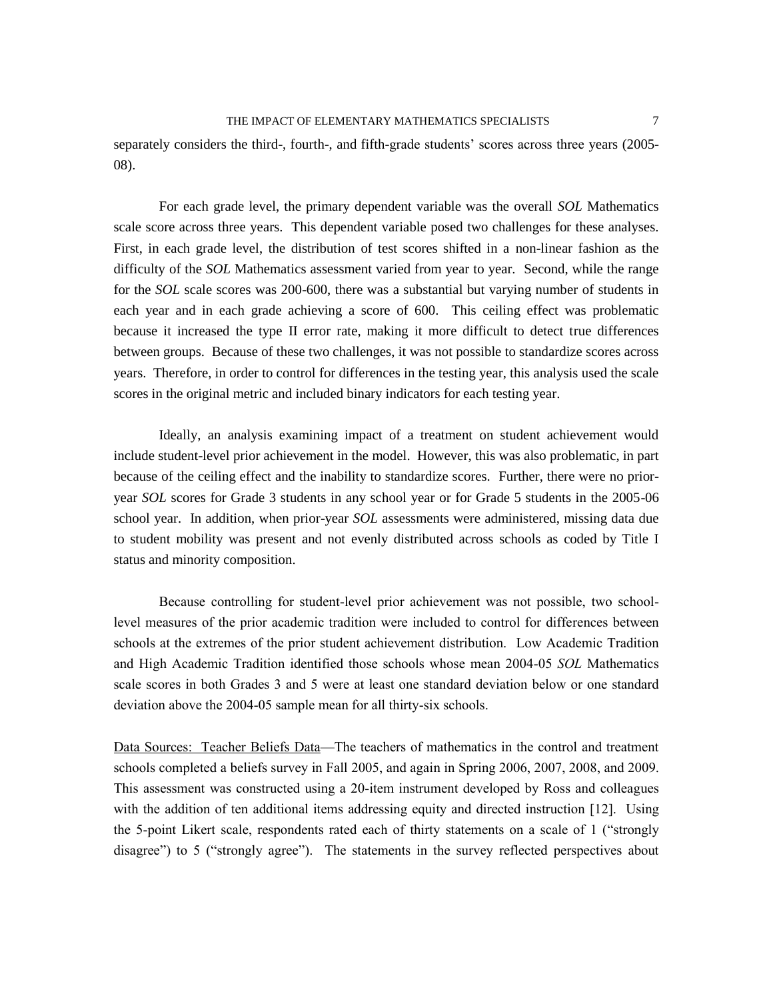separately considers the third-, fourth-, and fifth-grade students' scores across three years (2005- 08).

For each grade level, the primary dependent variable was the overall *SOL* Mathematics scale score across three years. This dependent variable posed two challenges for these analyses. First, in each grade level, the distribution of test scores shifted in a non-linear fashion as the difficulty of the *SOL* Mathematics assessment varied from year to year. Second, while the range for the *SOL* scale scores was 200-600, there was a substantial but varying number of students in each year and in each grade achieving a score of 600. This ceiling effect was problematic because it increased the type II error rate, making it more difficult to detect true differences between groups. Because of these two challenges, it was not possible to standardize scores across years. Therefore, in order to control for differences in the testing year, this analysis used the scale scores in the original metric and included binary indicators for each testing year.

Ideally, an analysis examining impact of a treatment on student achievement would include student-level prior achievement in the model. However, this was also problematic, in part because of the ceiling effect and the inability to standardize scores. Further, there were no prioryear *SOL* scores for Grade 3 students in any school year or for Grade 5 students in the 2005-06 school year. In addition, when prior-year *SOL* assessments were administered, missing data due to student mobility was present and not evenly distributed across schools as coded by Title I status and minority composition.

Because controlling for student-level prior achievement was not possible, two schoollevel measures of the prior academic tradition were included to control for differences between schools at the extremes of the prior student achievement distribution. Low Academic Tradition and High Academic Tradition identified those schools whose mean 2004-05 *SOL* Mathematics scale scores in both Grades 3 and 5 were at least one standard deviation below or one standard deviation above the 2004-05 sample mean for all thirty-six schools.

Data Sources: Teacher Beliefs Data—The teachers of mathematics in the control and treatment schools completed a beliefs survey in Fall 2005, and again in Spring 2006, 2007, 2008, and 2009. This assessment was constructed using a 20-item instrument developed by Ross and colleagues with the addition of ten additional items addressing equity and directed instruction [12]. Using the 5-point Likert scale, respondents rated each of thirty statements on a scale of 1 ("strongly disagree") to 5 ("strongly agree"). The statements in the survey reflected perspectives about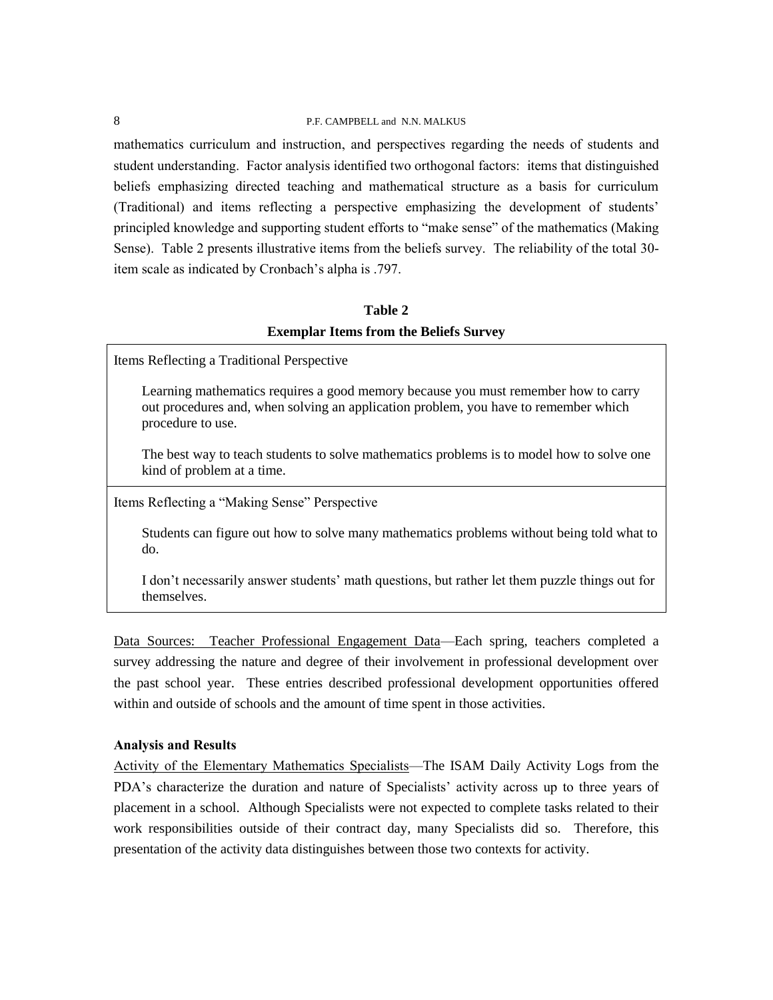mathematics curriculum and instruction, and perspectives regarding the needs of students and student understanding. Factor analysis identified two orthogonal factors: items that distinguished beliefs emphasizing directed teaching and mathematical structure as a basis for curriculum (Traditional) and items reflecting a perspective emphasizing the development of students' principled knowledge and supporting student efforts to "make sense" of the mathematics (Making Sense). Table 2 presents illustrative items from the beliefs survey. The reliability of the total 30 item scale as indicated by Cronbach's alpha is .797.

# **Table 2 Exemplar Items from the Beliefs Survey**

Items Reflecting a Traditional Perspective

Learning mathematics requires a good memory because you must remember how to carry out procedures and, when solving an application problem, you have to remember which procedure to use.

The best way to teach students to solve mathematics problems is to model how to solve one kind of problem at a time.

Items Reflecting a "Making Sense" Perspective

Students can figure out how to solve many mathematics problems without being told what to do.

I don't necessarily answer students' math questions, but rather let them puzzle things out for themselves.

Data Sources: Teacher Professional Engagement Data—Each spring, teachers completed a survey addressing the nature and degree of their involvement in professional development over the past school year. These entries described professional development opportunities offered within and outside of schools and the amount of time spent in those activities.

# **Analysis and Results**

Activity of the Elementary Mathematics Specialists—The ISAM Daily Activity Logs from the PDA's characterize the duration and nature of Specialists' activity across up to three years of placement in a school. Although Specialists were not expected to complete tasks related to their work responsibilities outside of their contract day, many Specialists did so. Therefore, this presentation of the activity data distinguishes between those two contexts for activity.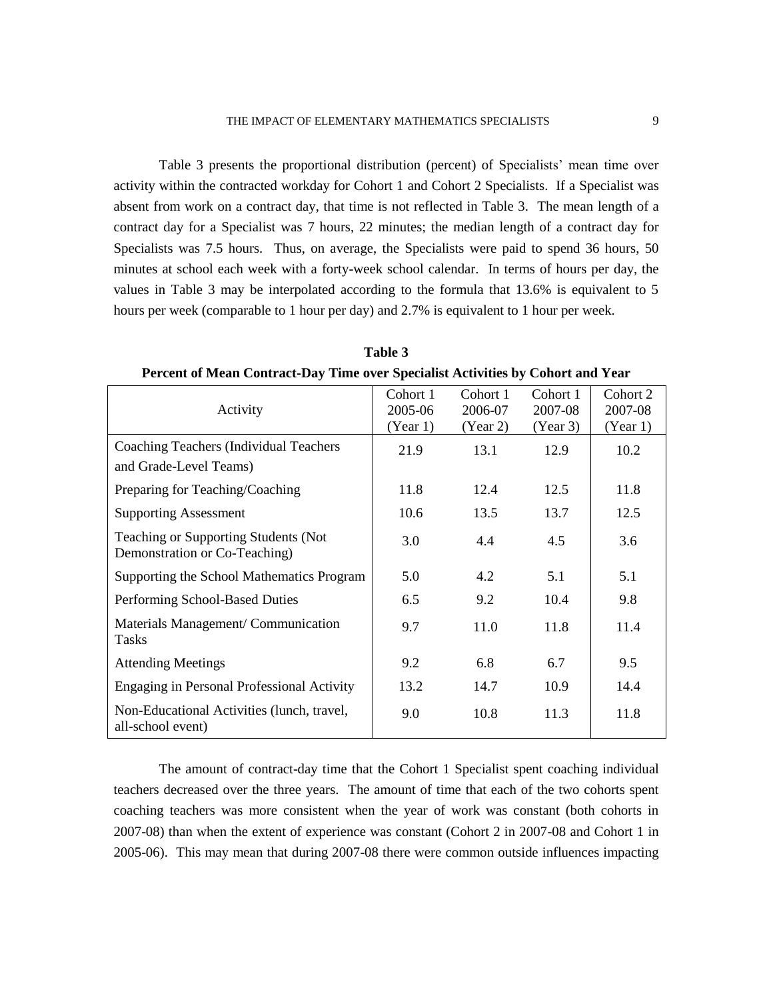Table 3 presents the proportional distribution (percent) of Specialists' mean time over activity within the contracted workday for Cohort 1 and Cohort 2 Specialists. If a Specialist was absent from work on a contract day, that time is not reflected in Table 3. The mean length of a contract day for a Specialist was 7 hours, 22 minutes; the median length of a contract day for Specialists was 7.5 hours. Thus, on average, the Specialists were paid to spend 36 hours, 50 minutes at school each week with a forty-week school calendar. In terms of hours per day, the values in Table 3 may be interpolated according to the formula that 13.6% is equivalent to 5 hours per week (comparable to 1 hour per day) and 2.7% is equivalent to 1 hour per week.

**Table 3 Percent of Mean Contract-Day Time over Specialist Activities by Cohort and Year**

| Activity                                                              | Cohort 1<br>2005-06<br>(Year 1) | Cohort 1<br>2006-07<br>(Year 2) | Cohort 1<br>2007-08<br>(Year 3) | Cohort 2<br>2007-08<br>(Year 1) |
|-----------------------------------------------------------------------|---------------------------------|---------------------------------|---------------------------------|---------------------------------|
| Coaching Teachers (Individual Teachers<br>and Grade-Level Teams)      | 21.9                            | 13.1                            | 12.9                            | 10.2                            |
| Preparing for Teaching/Coaching                                       | 11.8                            | 12.4                            | 12.5                            | 11.8                            |
| <b>Supporting Assessment</b>                                          | 10.6                            | 13.5                            | 13.7                            | 12.5                            |
| Teaching or Supporting Students (Not<br>Demonstration or Co-Teaching) | 3.0                             | 4.4                             | 4.5                             | 3.6                             |
| Supporting the School Mathematics Program                             | 5.0                             | 4.2                             | 5.1                             | 5.1                             |
| Performing School-Based Duties                                        | 6.5                             | 9.2                             | 10.4                            | 9.8                             |
| Materials Management/ Communication<br><b>Tasks</b>                   | 9.7                             | 11.0                            | 11.8                            | 11.4                            |
| <b>Attending Meetings</b>                                             | 9.2                             | 6.8                             | 6.7                             | 9.5                             |
| Engaging in Personal Professional Activity                            | 13.2                            | 14.7                            | 10.9                            | 14.4                            |
| Non-Educational Activities (lunch, travel,<br>all-school event)       | 9.0                             | 10.8                            | 11.3                            | 11.8                            |

The amount of contract-day time that the Cohort 1 Specialist spent coaching individual teachers decreased over the three years. The amount of time that each of the two cohorts spent coaching teachers was more consistent when the year of work was constant (both cohorts in 2007-08) than when the extent of experience was constant (Cohort 2 in 2007-08 and Cohort 1 in 2005-06). This may mean that during 2007-08 there were common outside influences impacting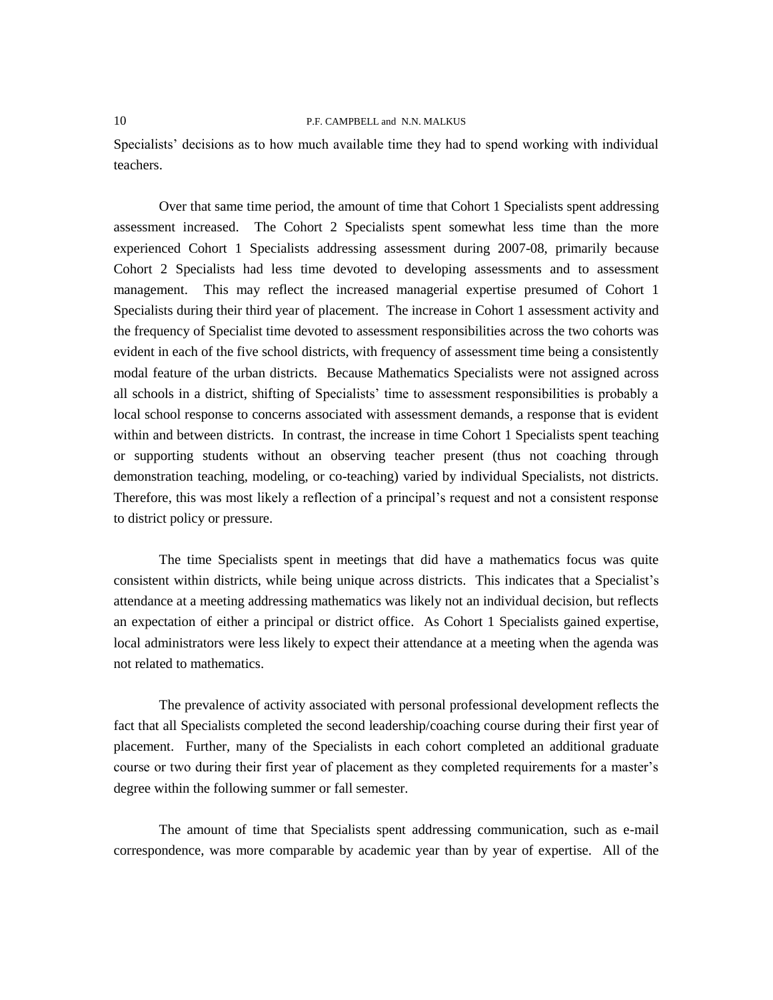Specialists' decisions as to how much available time they had to spend working with individual teachers.

Over that same time period, the amount of time that Cohort 1 Specialists spent addressing assessment increased. The Cohort 2 Specialists spent somewhat less time than the more experienced Cohort 1 Specialists addressing assessment during 2007-08, primarily because Cohort 2 Specialists had less time devoted to developing assessments and to assessment management. This may reflect the increased managerial expertise presumed of Cohort 1 Specialists during their third year of placement. The increase in Cohort 1 assessment activity and the frequency of Specialist time devoted to assessment responsibilities across the two cohorts was evident in each of the five school districts, with frequency of assessment time being a consistently modal feature of the urban districts. Because Mathematics Specialists were not assigned across all schools in a district, shifting of Specialists' time to assessment responsibilities is probably a local school response to concerns associated with assessment demands, a response that is evident within and between districts. In contrast, the increase in time Cohort 1 Specialists spent teaching or supporting students without an observing teacher present (thus not coaching through demonstration teaching, modeling, or co-teaching) varied by individual Specialists, not districts. Therefore, this was most likely a reflection of a principal's request and not a consistent response to district policy or pressure.

The time Specialists spent in meetings that did have a mathematics focus was quite consistent within districts, while being unique across districts. This indicates that a Specialist's attendance at a meeting addressing mathematics was likely not an individual decision, but reflects an expectation of either a principal or district office. As Cohort 1 Specialists gained expertise, local administrators were less likely to expect their attendance at a meeting when the agenda was not related to mathematics.

The prevalence of activity associated with personal professional development reflects the fact that all Specialists completed the second leadership/coaching course during their first year of placement. Further, many of the Specialists in each cohort completed an additional graduate course or two during their first year of placement as they completed requirements for a master's degree within the following summer or fall semester.

The amount of time that Specialists spent addressing communication, such as e-mail correspondence, was more comparable by academic year than by year of expertise. All of the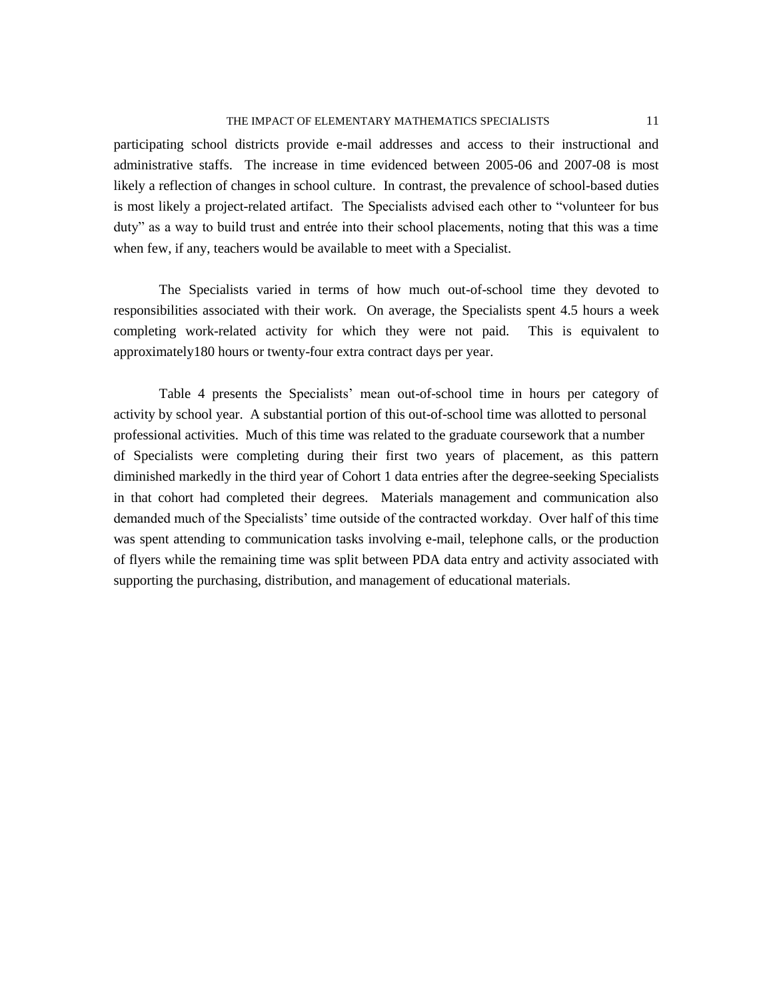participating school districts provide e-mail addresses and access to their instructional and administrative staffs. The increase in time evidenced between 2005-06 and 2007-08 is most likely a reflection of changes in school culture. In contrast, the prevalence of school-based duties is most likely a project-related artifact. The Specialists advised each other to "volunteer for bus duty" as a way to build trust and entrée into their school placements, noting that this was a time when few, if any, teachers would be available to meet with a Specialist.

The Specialists varied in terms of how much out-of-school time they devoted to responsibilities associated with their work. On average, the Specialists spent 4.5 hours a week completing work-related activity for which they were not paid. This is equivalent to approximately180 hours or twenty-four extra contract days per year.

Table 4 presents the Specialists' mean out-of-school time in hours per category of activity by school year. A substantial portion of this out-of-school time was allotted to personal professional activities. Much of this time was related to the graduate coursework that a number of Specialists were completing during their first two years of placement, as this pattern diminished markedly in the third year of Cohort 1 data entries after the degree-seeking Specialists in that cohort had completed their degrees. Materials management and communication also demanded much of the Specialists' time outside of the contracted workday. Over half of this time was spent attending to communication tasks involving e-mail, telephone calls, or the production of flyers while the remaining time was split between PDA data entry and activity associated with supporting the purchasing, distribution, and management of educational materials.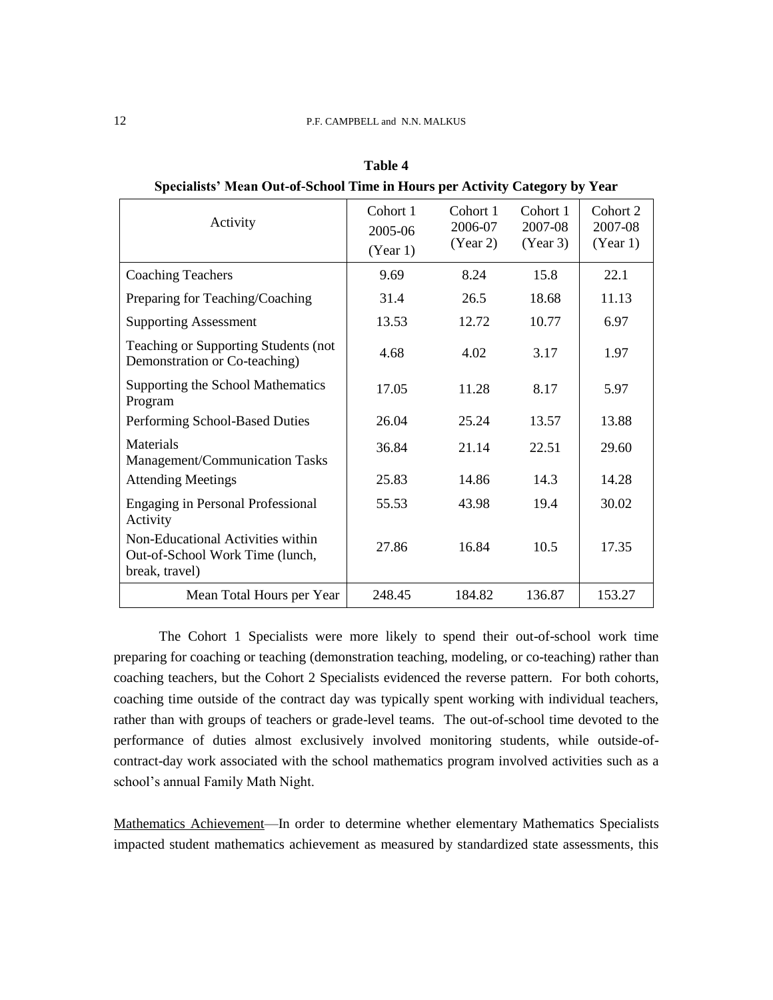| Activity                                                                               | Cohort 1<br>2005-06<br>(Year 1) | Cohort 1<br>2006-07<br>(Year 2) | Cohort 1<br>2007-08<br>(Year 3) | Cohort 2<br>2007-08<br>(Year 1) |
|----------------------------------------------------------------------------------------|---------------------------------|---------------------------------|---------------------------------|---------------------------------|
| <b>Coaching Teachers</b>                                                               | 9.69                            | 8.24                            | 15.8                            | 22.1                            |
| Preparing for Teaching/Coaching                                                        | 31.4                            | 26.5                            | 18.68                           | 11.13                           |
| <b>Supporting Assessment</b>                                                           | 13.53                           | 12.72                           | 10.77                           | 6.97                            |
| Teaching or Supporting Students (not<br>Demonstration or Co-teaching)                  | 4.68                            | 4.02                            | 3.17                            | 1.97                            |
| Supporting the School Mathematics<br>Program                                           | 17.05                           | 11.28                           | 8.17                            | 5.97                            |
| Performing School-Based Duties                                                         | 26.04                           | 25.24                           | 13.57                           | 13.88                           |
| Materials<br>Management/Communication Tasks                                            | 36.84                           | 21.14                           | 22.51                           | 29.60                           |
| <b>Attending Meetings</b>                                                              | 25.83                           | 14.86                           | 14.3                            | 14.28                           |
| <b>Engaging in Personal Professional</b><br>Activity                                   | 55.53                           | 43.98                           | 19.4                            | 30.02                           |
| Non-Educational Activities within<br>Out-of-School Work Time (lunch,<br>break, travel) | 27.86                           | 16.84                           | 10.5                            | 17.35                           |
| Mean Total Hours per Year                                                              | 248.45                          | 184.82                          | 136.87                          | 153.27                          |

**Table 4 Specialists' Mean Out-of-School Time in Hours per Activity Category by Year**

The Cohort 1 Specialists were more likely to spend their out-of-school work time preparing for coaching or teaching (demonstration teaching, modeling, or co-teaching) rather than coaching teachers, but the Cohort 2 Specialists evidenced the reverse pattern. For both cohorts, coaching time outside of the contract day was typically spent working with individual teachers, rather than with groups of teachers or grade-level teams. The out-of-school time devoted to the performance of duties almost exclusively involved monitoring students, while outside-ofcontract-day work associated with the school mathematics program involved activities such as a school's annual Family Math Night.

Mathematics Achievement—In order to determine whether elementary Mathematics Specialists impacted student mathematics achievement as measured by standardized state assessments, this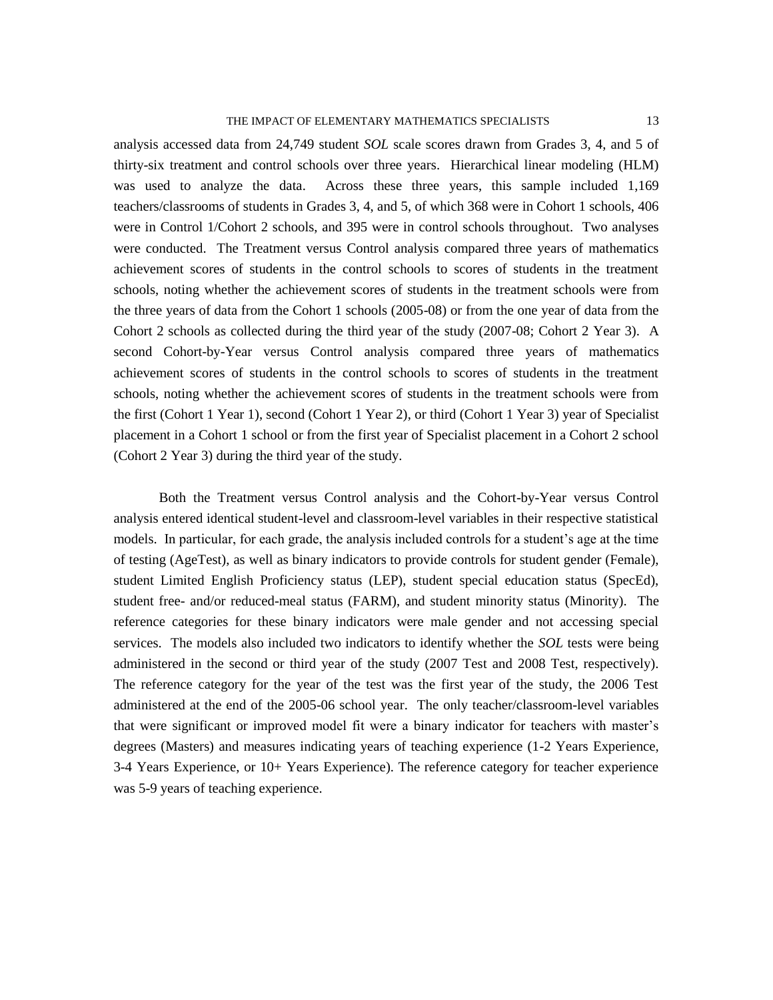analysis accessed data from 24,749 student *SOL* scale scores drawn from Grades 3, 4, and 5 of thirty-six treatment and control schools over three years. Hierarchical linear modeling (HLM) was used to analyze the data. Across these three years, this sample included 1,169 teachers/classrooms of students in Grades 3, 4, and 5, of which 368 were in Cohort 1 schools, 406 were in Control 1/Cohort 2 schools, and 395 were in control schools throughout. Two analyses were conducted. The Treatment versus Control analysis compared three years of mathematics achievement scores of students in the control schools to scores of students in the treatment schools, noting whether the achievement scores of students in the treatment schools were from the three years of data from the Cohort 1 schools (2005-08) or from the one year of data from the Cohort 2 schools as collected during the third year of the study (2007-08; Cohort 2 Year 3). A second Cohort-by-Year versus Control analysis compared three years of mathematics achievement scores of students in the control schools to scores of students in the treatment schools, noting whether the achievement scores of students in the treatment schools were from the first (Cohort 1 Year 1), second (Cohort 1 Year 2), or third (Cohort 1 Year 3) year of Specialist placement in a Cohort 1 school or from the first year of Specialist placement in a Cohort 2 school (Cohort 2 Year 3) during the third year of the study.

Both the Treatment versus Control analysis and the Cohort-by-Year versus Control analysis entered identical student-level and classroom-level variables in their respective statistical models. In particular, for each grade, the analysis included controls for a student's age at the time of testing (AgeTest), as well as binary indicators to provide controls for student gender (Female), student Limited English Proficiency status (LEP), student special education status (SpecEd), student free- and/or reduced-meal status (FARM), and student minority status (Minority). The reference categories for these binary indicators were male gender and not accessing special services. The models also included two indicators to identify whether the *SOL* tests were being administered in the second or third year of the study (2007 Test and 2008 Test, respectively). The reference category for the year of the test was the first year of the study, the 2006 Test administered at the end of the 2005-06 school year. The only teacher/classroom-level variables that were significant or improved model fit were a binary indicator for teachers with master's degrees (Masters) and measures indicating years of teaching experience (1-2 Years Experience, 3-4 Years Experience, or 10+ Years Experience). The reference category for teacher experience was 5-9 years of teaching experience.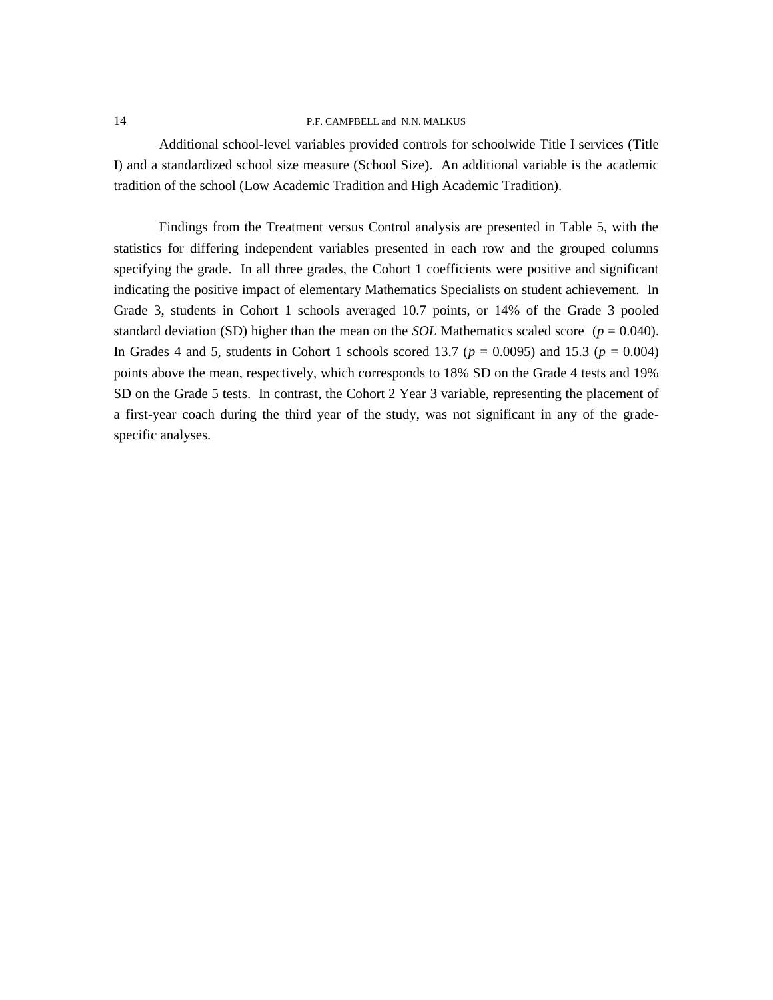Additional school-level variables provided controls for schoolwide Title I services (Title I) and a standardized school size measure (School Size). An additional variable is the academic tradition of the school (Low Academic Tradition and High Academic Tradition).

Findings from the Treatment versus Control analysis are presented in Table 5, with the statistics for differing independent variables presented in each row and the grouped columns specifying the grade. In all three grades, the Cohort 1 coefficients were positive and significant indicating the positive impact of elementary Mathematics Specialists on student achievement. In Grade 3, students in Cohort 1 schools averaged 10.7 points, or 14% of the Grade 3 pooled standard deviation (SD) higher than the mean on the *SOL* Mathematics scaled score ( $p = 0.040$ ). In Grades 4 and 5, students in Cohort 1 schools scored 13.7 ( $p = 0.0095$ ) and 15.3 ( $p = 0.004$ ) points above the mean, respectively, which corresponds to 18% SD on the Grade 4 tests and 19% SD on the Grade 5 tests. In contrast, the Cohort 2 Year 3 variable, representing the placement of a first-year coach during the third year of the study, was not significant in any of the gradespecific analyses.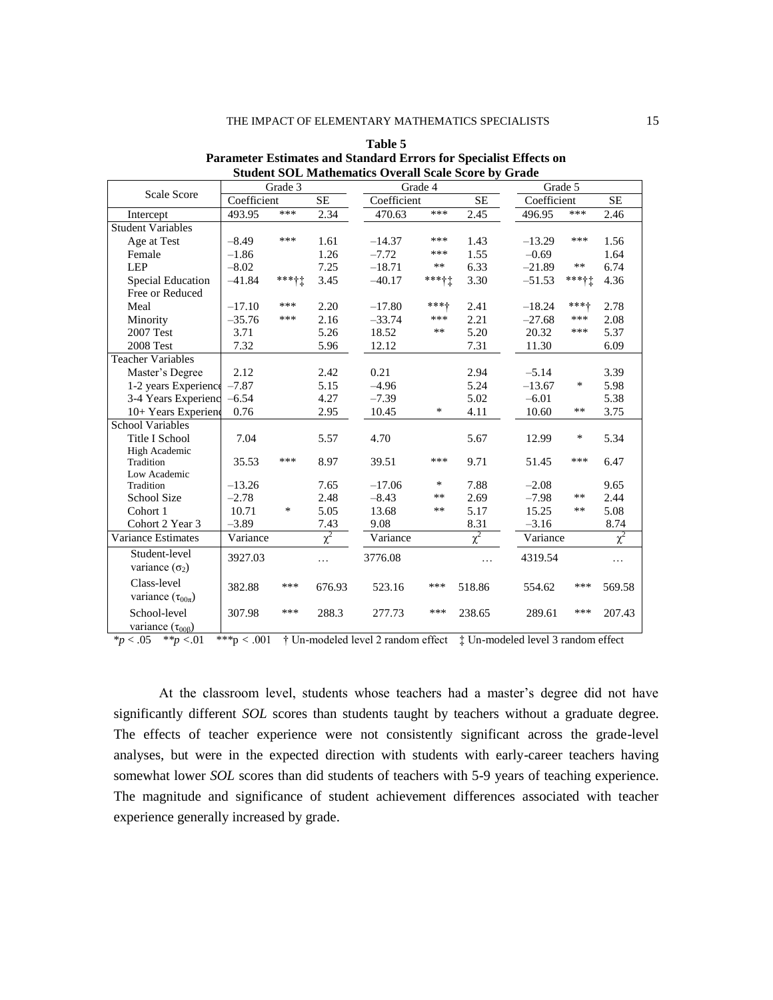|                           |                  | Grade 3 |           |             | Grade 4 |              | Grade 5     |           |           |
|---------------------------|------------------|---------|-----------|-------------|---------|--------------|-------------|-----------|-----------|
| <b>Scale Score</b>        | Coefficient      |         | <b>SE</b> | Coefficient |         | <b>SE</b>    | Coefficient |           | <b>SE</b> |
| Intercept                 | 493.95           | ***     | 2.34      | 470.63      | ***     | 2.45         | 496.95      | ***       | 2.46      |
| <b>Student Variables</b>  |                  |         |           |             |         |              |             |           |           |
| Age at Test               | $-8.49$          | ***     | 1.61      | $-14.37$    | ***     | 1.43         | $-13.29$    | ***       | 1.56      |
| Female                    | $-1.86$          |         | 1.26      | $-7.72$     | ***     | 1.55         | $-0.69$     |           | 1.64      |
| <b>LEP</b>                | $-8.02$          |         | 7.25      | $-18.71$    | $***$   | 6.33         | $-21.89$    | $**$      | 6.74      |
| <b>Special Education</b>  | $-41.84$         | *****   | 3.45      | $-40.17$    | *****   | 3.30         | $-51.53$    | $***$ + + | 4.36      |
| Free or Reduced           |                  |         |           |             |         |              |             |           |           |
| Meal                      | $-17.10$         | ***     | 2.20      | $-17.80$    | ***+    | 2.41         | $-18.24$    | ***+      | 2.78      |
| Minority                  | $-35.76$         | ***     | 2.16      | $-33.74$    | ***     | 2.21         | $-27.68$    | ***       | 2.08      |
| 2007 Test                 | 3.71             |         | 5.26      | 18.52       | **      | 5.20         | 20.32       | ***       | 5.37      |
| 2008 Test                 | 7.32             |         | 5.96      | 12.12       |         | 7.31         | 11.30       |           | 6.09      |
| <b>Teacher Variables</b>  |                  |         |           |             |         |              |             |           |           |
| Master's Degree           | 2.12             |         | 2.42      | 0.21        |         | 2.94         | $-5.14$     |           | 3.39      |
| 1-2 years Experience      | $-7.87$          |         | 5.15      | $-4.96$     |         | 5.24         | $-13.67$    | ∗         | 5.98      |
| 3-4 Years Experienc       | $-6.54$          |         | 4.27      | $-7.39$     |         | 5.02         | $-6.01$     |           | 5.38      |
| 10+ Years Experiend       | 0.76             |         | 2.95      | 10.45       | ∗       | 4.11         | 10.60       | **        | 3.75      |
| <b>School Variables</b>   |                  |         |           |             |         |              |             |           |           |
| Title I School            | 7.04             |         | 5.57      | 4.70        |         | 5.67         | 12.99       | $\ast$    | 5.34      |
| High Academic             |                  |         |           |             |         |              |             |           |           |
| Tradition                 | 35.53            | ***     | 8.97      | 39.51       | ***     | 9.71         | 51.45       | ***       | 6.47      |
| Low Academic              |                  |         |           |             | ∗       |              |             |           |           |
| Tradition                 | $-13.26$         |         | 7.65      | $-17.06$    | $**$    | 7.88         | $-2.08$     | $**$      | 9.65      |
| <b>School Size</b>        | $-2.78$<br>10.71 | $\ast$  | 2.48      | $-8.43$     | $**$    | 2.69<br>5.17 | $-7.98$     | $***$     | 2.44      |
| Cohort 1                  |                  |         | 5.05      | 13.68       |         |              | 15.25       |           | 5.08      |
| Cohort 2 Year 3           | $-3.89$          |         | 7.43      | 9.08        |         | 8.31         | $-3.16$     |           | 8.74      |
| Variance Estimates        | Variance         |         | $\chi^2$  | Variance    |         | $\chi^2$     | Variance    |           | $\chi^2$  |
| Student-level             | 3927.03          |         | .         | 3776.08     |         | $\cdots$     | 4319.54     |           | .         |
| variance $(\sigma_2)$     |                  |         |           |             |         |              |             |           |           |
| Class-level               | 382.88           | ***     | 676.93    | 523.16      | ***     | 518.86       | 554.62      | ***       | 569.58    |
| variance $(\tau_{00\pi})$ |                  |         |           |             |         |              |             |           |           |
| School-level              | 307.98           | ***     | 288.3     | 277.73      | ***     | 238.65       | 289.61      | ***       | 207.43    |
| variance $(\tau_{00B})$   |                  |         |           |             |         |              |             |           |           |

**Table 5 Parameter Estimates and Standard Errors for Specialist Effects on Student SOL Mathematics Overall Scale Score by Grade**

\**p* < .05 *\*\*p <*.01 *\*\*\**p *<* .001 † Un-modeled level 2 random effect ‡ Un-modeled level 3 random effect

At the classroom level, students whose teachers had a master's degree did not have significantly different *SOL* scores than students taught by teachers without a graduate degree. The effects of teacher experience were not consistently significant across the grade-level analyses, but were in the expected direction with students with early-career teachers having somewhat lower *SOL* scores than did students of teachers with 5-9 years of teaching experience. The magnitude and significance of student achievement differences associated with teacher experience generally increased by grade.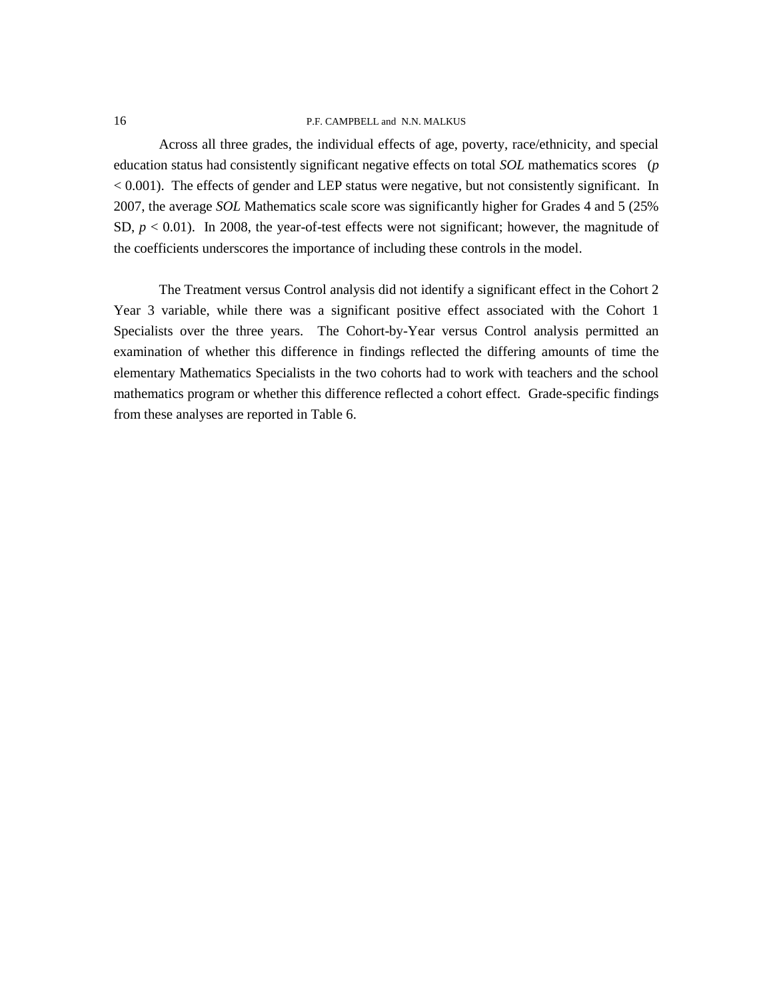Across all three grades, the individual effects of age, poverty, race/ethnicity, and special education status had consistently significant negative effects on total *SOL* mathematics scores (*p* < 0.001). The effects of gender and LEP status were negative, but not consistently significant. In 2007, the average *SOL* Mathematics scale score was significantly higher for Grades 4 and 5 (25% SD,  $p < 0.01$ ). In 2008, the year-of-test effects were not significant; however, the magnitude of the coefficients underscores the importance of including these controls in the model.

The Treatment versus Control analysis did not identify a significant effect in the Cohort 2 Year 3 variable, while there was a significant positive effect associated with the Cohort 1 Specialists over the three years. The Cohort-by-Year versus Control analysis permitted an examination of whether this difference in findings reflected the differing amounts of time the elementary Mathematics Specialists in the two cohorts had to work with teachers and the school mathematics program or whether this difference reflected a cohort effect. Grade-specific findings from these analyses are reported in Table 6.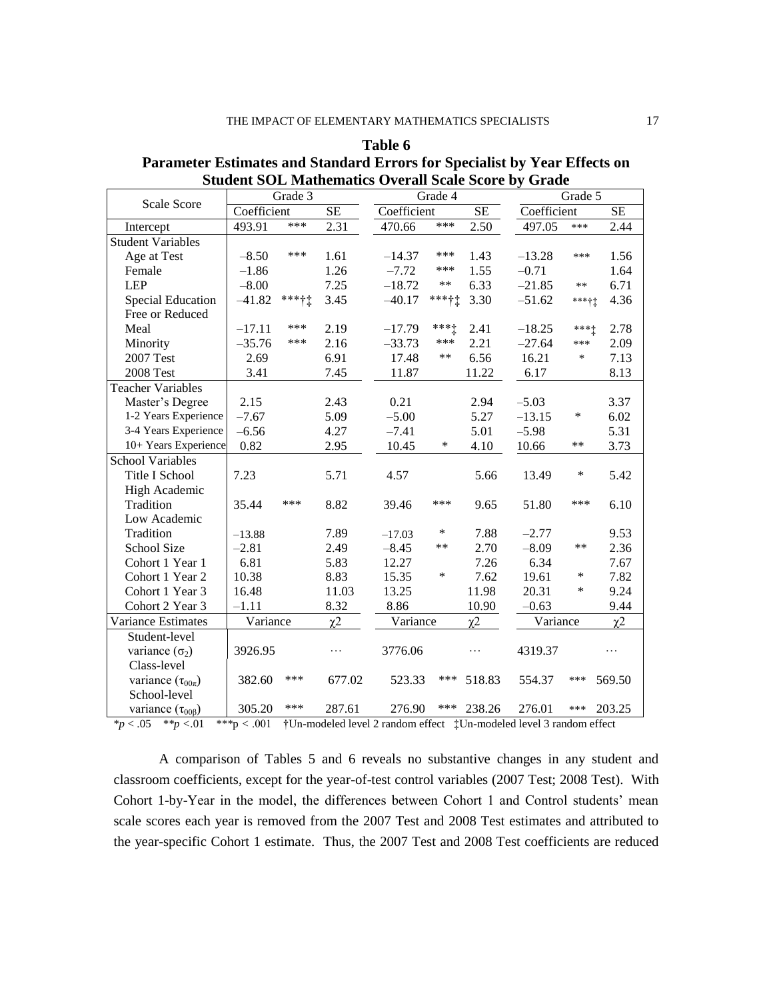| Scale Score                 |             | Grade 3 |           |             | Grade 4   |           |             | Grade 5 |                     |
|-----------------------------|-------------|---------|-----------|-------------|-----------|-----------|-------------|---------|---------------------|
|                             | Coefficient |         | <b>SE</b> | Coefficient |           | <b>SE</b> | Coefficient |         | <b>SE</b>           |
| Intercept                   | 493.91      | ***     | 2.31      | 470.66      | ***       | 2.50      | 497.05      | ***     | 2.44                |
| <b>Student Variables</b>    |             |         |           |             |           |           |             |         |                     |
| Age at Test                 | $-8.50$     | ***     | 1.61      | $-14.37$    | ***       | 1.43      | $-13.28$    | ***     | 1.56                |
| Female                      | $-1.86$     |         | 1.26      | $-7.72$     | ***       | 1.55      | $-0.71$     |         | 1.64                |
| <b>LEP</b>                  | $-8.00$     |         | 7.25      | $-18.72$    | $***$     | 6.33      | $-21.85$    | $**$    | 6.71                |
| <b>Special Education</b>    | $-41.82$    | ***††   | 3.45      | $-40.17$    | ***††     | 3.30      | $-51.62$    | *****   | 4.36                |
| Free or Reduced             |             |         |           |             |           |           |             |         |                     |
| Meal                        | $-17.11$    | ***     | 2.19      | $-17.79$    | $***$ $+$ | 2.41      | $-18.25$    | $*** +$ | 2.78                |
| Minority                    | $-35.76$    | ***     | 2.16      | $-33.73$    | ***       | 2.21      | $-27.64$    | ***     | 2.09                |
| 2007 Test                   | 2.69        |         | 6.91      | 17.48       | $***$     | 6.56      | 16.21       | $\ast$  | 7.13                |
| <b>2008 Test</b>            | 3.41        |         | 7.45      | 11.87       |           | 11.22     | 6.17        |         | 8.13                |
| <b>Teacher Variables</b>    |             |         |           |             |           |           |             |         |                     |
| Master's Degree             | 2.15        |         | 2.43      | 0.21        |           | 2.94      | $-5.03$     |         | 3.37                |
| 1-2 Years Experience        | $-7.67$     |         | 5.09      | $-5.00$     |           | 5.27      | $-13.15$    | *       | 6.02                |
| 3-4 Years Experience        | $-6.56$     |         | 4.27      | $-7.41$     |           | 5.01      | $-5.98$     |         | 5.31                |
| 10+ Years Experience        | 0.82        |         | 2.95      | 10.45       | ∗         | 4.10      | 10.66       | **      | 3.73                |
| <b>School Variables</b>     |             |         |           |             |           |           |             |         |                     |
| Title I School              | 7.23        |         | 5.71      | 4.57        |           | 5.66      | 13.49       | *       | 5.42                |
| <b>High Academic</b>        |             |         |           |             |           |           |             |         |                     |
| Tradition                   | 35.44       | ***     | 8.82      | 39.46       | ***       | 9.65      | 51.80       | ***     | 6.10                |
| Low Academic                |             |         |           |             |           |           |             |         |                     |
| Tradition                   | $-13.88$    |         | 7.89      | $-17.03$    | ∗         | 7.88      | $-2.77$     |         | 9.53                |
| <b>School Size</b>          | $-2.81$     |         | 2.49      | $-8.45$     | **        | 2.70      | $-8.09$     | $***$   | 2.36                |
| Cohort 1 Year 1             | 6.81        |         | 5.83      | 12.27       |           | 7.26      | 6.34        |         | 7.67                |
| Cohort 1 Year 2             | 10.38       |         | 8.83      | 15.35       | *         | 7.62      | 19.61       | ∗       | 7.82                |
| Cohort 1 Year 3             | 16.48       |         | 11.03     | 13.25       |           | 11.98     | 20.31       | *       | 9.24                |
| Cohort 2 Year 3             | $-1.11$     |         | 8.32      | 8.86        |           | 10.90     | $-0.63$     |         | 9.44                |
| Variance Estimates          | Variance    |         | $\chi$ 2  | Variance    |           | $\chi$ 2  | Variance    |         | $\chi$ <sup>2</sup> |
| Student-level               |             |         |           |             |           |           |             |         |                     |
| variance $(\sigma_2)$       | 3926.95     |         | .         | 3776.06     |           | .         | 4319.37     |         | .                   |
| Class-level                 |             |         |           |             |           |           |             |         |                     |
| variance $(\tau_{00\pi})$   | 382.60      | ***     | 677.02    | 523.33      | ***       | 518.83    | 554.37      | ***     | 569.50              |
| School-level                |             |         |           |             |           |           |             |         |                     |
| variance $(\tau_{00\beta})$ | 305.20      | ***     | 287.61    | 276.90      | ***       | 238.26    | 276.01      | ***     | 203.25              |

**Table 6 Parameter Estimates and Standard Errors for Specialist by Year Effects on Student SOL Mathematics Overall Scale Score by Grade**

\**p* < .05 *\*\*p <*.01 *\*\*\**p *<* .001 †Un-modeled level 2 random effect ‡Un-modeled level 3 random effect

A comparison of Tables 5 and 6 reveals no substantive changes in any student and classroom coefficients, except for the year-of-test control variables (2007 Test; 2008 Test). With Cohort 1-by-Year in the model, the differences between Cohort 1 and Control students' mean scale scores each year is removed from the 2007 Test and 2008 Test estimates and attributed to the year-specific Cohort 1 estimate. Thus, the 2007 Test and 2008 Test coefficients are reduced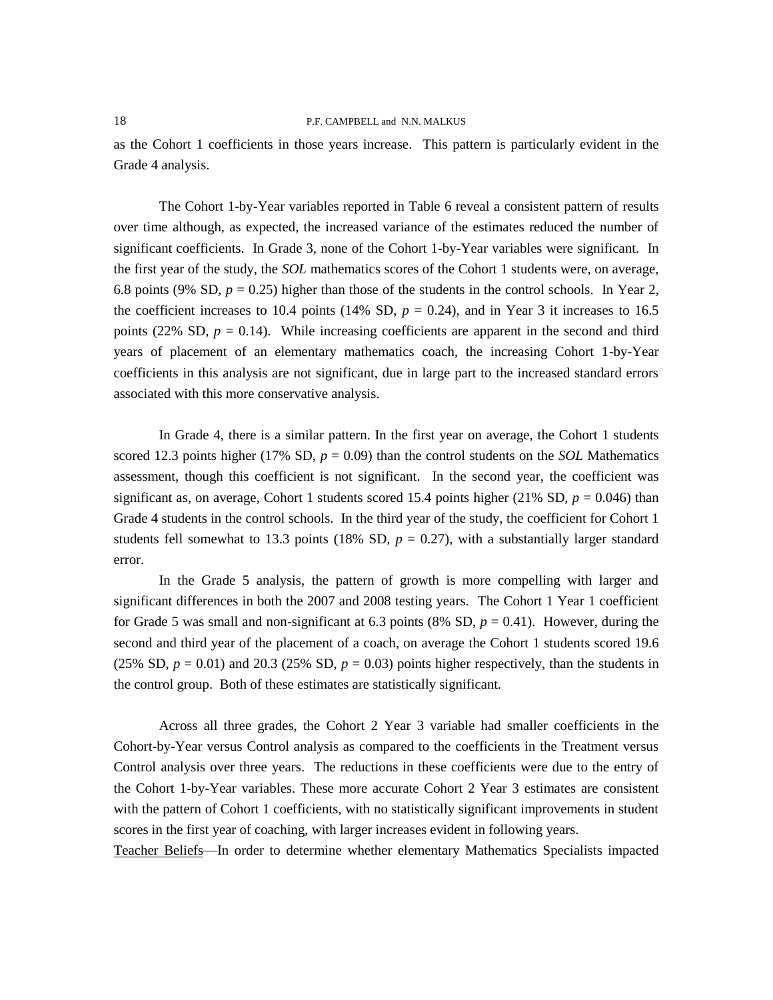as the Cohort 1 coefficients in those years increase. This pattern is particularly evident in the Grade 4 analysis.

The Cohort 1-by-Year variables reported in Table 6 reveal a consistent pattern of results over time although, as expected, the increased variance of the estimates reduced the number of significant coefficients. In Grade 3, none of the Cohort 1-by-Year variables were significant. In the first year of the study, the *SOL* mathematics scores of the Cohort 1 students were, on average, 6.8 points (9% SD,  $p = 0.25$ ) higher than those of the students in the control schools. In Year 2, the coefficient increases to 10.4 points (14% SD,  $p = 0.24$ ), and in Year 3 it increases to 16.5 points (22% SD,  $p = 0.14$ ). While increasing coefficients are apparent in the second and third years of placement of an elementary mathematics coach, the increasing Cohort 1-by-Year coefficients in this analysis are not significant, due in large part to the increased standard errors associated with this more conservative analysis.

In Grade 4, there is a similar pattern. In the first year on average, the Cohort 1 students scored 12.3 points higher (17% SD,  $p = 0.09$ ) than the control students on the *SOL* Mathematics assessment, though this coefficient is not significant. In the second year, the coefficient was significant as, on average, Cohort 1 students scored 15.4 points higher  $(21\% S D, p = 0.046)$  than Grade 4 students in the control schools. In the third year of the study, the coefficient for Cohort 1 students fell somewhat to 13.3 points (18% SD,  $p = 0.27$ ), with a substantially larger standard error.

In the Grade 5 analysis, the pattern of growth is more compelling with larger and significant differences in both the 2007 and 2008 testing years. The Cohort 1 Year 1 coefficient for Grade 5 was small and non-significant at 6.3 points (8% SD,  $p = 0.41$ ). However, during the second and third year of the placement of a coach, on average the Cohort 1 students scored 19.6 (25% SD,  $p = 0.01$ ) and 20.3 (25% SD,  $p = 0.03$ ) points higher respectively, than the students in the control group. Both of these estimates are statistically significant.

Across all three grades, the Cohort 2 Year 3 variable had smaller coefficients in the Cohort-by-Year versus Control analysis as compared to the coefficients in the Treatment versus Control analysis over three years. The reductions in these coefficients were due to the entry of the Cohort 1-by-Year variables. These more accurate Cohort 2 Year 3 estimates are consistent with the pattern of Cohort 1 coefficients, with no statistically significant improvements in student scores in the first year of coaching, with larger increases evident in following years.

Teacher Beliefs—In order to determine whether elementary Mathematics Specialists impacted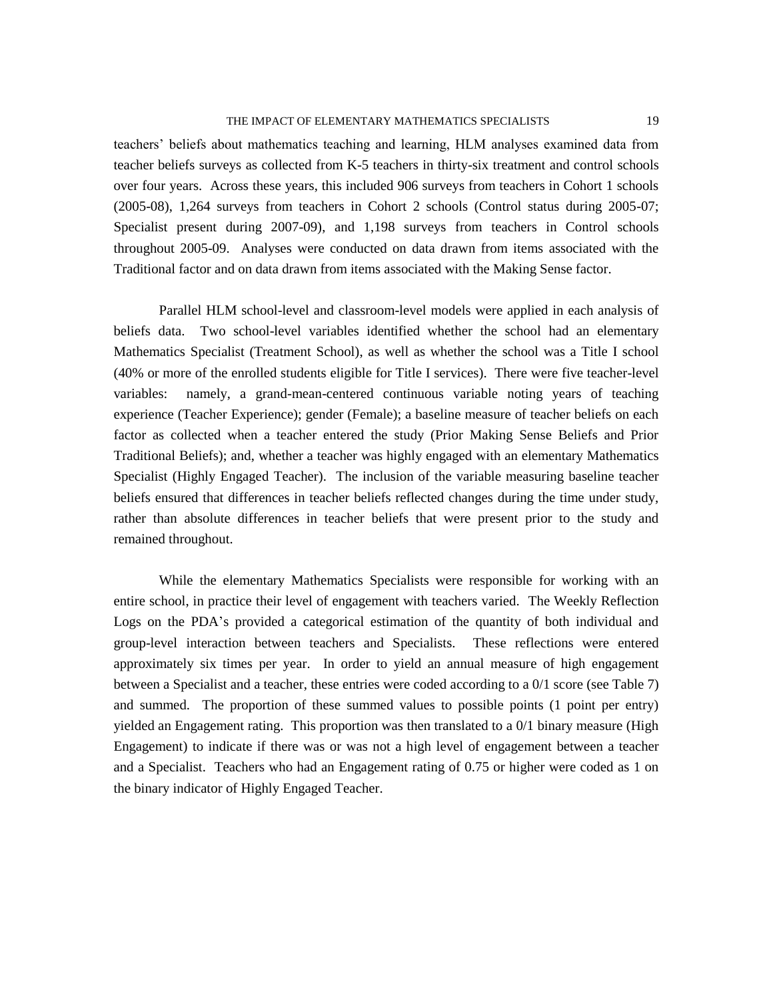teachers' beliefs about mathematics teaching and learning, HLM analyses examined data from teacher beliefs surveys as collected from K-5 teachers in thirty-six treatment and control schools over four years. Across these years, this included 906 surveys from teachers in Cohort 1 schools (2005-08), 1,264 surveys from teachers in Cohort 2 schools (Control status during 2005-07; Specialist present during 2007-09), and 1,198 surveys from teachers in Control schools throughout 2005-09. Analyses were conducted on data drawn from items associated with the Traditional factor and on data drawn from items associated with the Making Sense factor.

Parallel HLM school-level and classroom-level models were applied in each analysis of beliefs data. Two school-level variables identified whether the school had an elementary Mathematics Specialist (Treatment School), as well as whether the school was a Title I school (40% or more of the enrolled students eligible for Title I services). There were five teacher-level variables: namely, a grand-mean-centered continuous variable noting years of teaching experience (Teacher Experience); gender (Female); a baseline measure of teacher beliefs on each factor as collected when a teacher entered the study (Prior Making Sense Beliefs and Prior Traditional Beliefs); and, whether a teacher was highly engaged with an elementary Mathematics Specialist (Highly Engaged Teacher). The inclusion of the variable measuring baseline teacher beliefs ensured that differences in teacher beliefs reflected changes during the time under study, rather than absolute differences in teacher beliefs that were present prior to the study and remained throughout.

While the elementary Mathematics Specialists were responsible for working with an entire school, in practice their level of engagement with teachers varied. The Weekly Reflection Logs on the PDA's provided a categorical estimation of the quantity of both individual and group-level interaction between teachers and Specialists. These reflections were entered approximately six times per year. In order to yield an annual measure of high engagement between a Specialist and a teacher, these entries were coded according to a 0/1 score (see Table 7) and summed. The proportion of these summed values to possible points (1 point per entry) yielded an Engagement rating. This proportion was then translated to a 0/1 binary measure (High Engagement) to indicate if there was or was not a high level of engagement between a teacher and a Specialist. Teachers who had an Engagement rating of 0.75 or higher were coded as 1 on the binary indicator of Highly Engaged Teacher.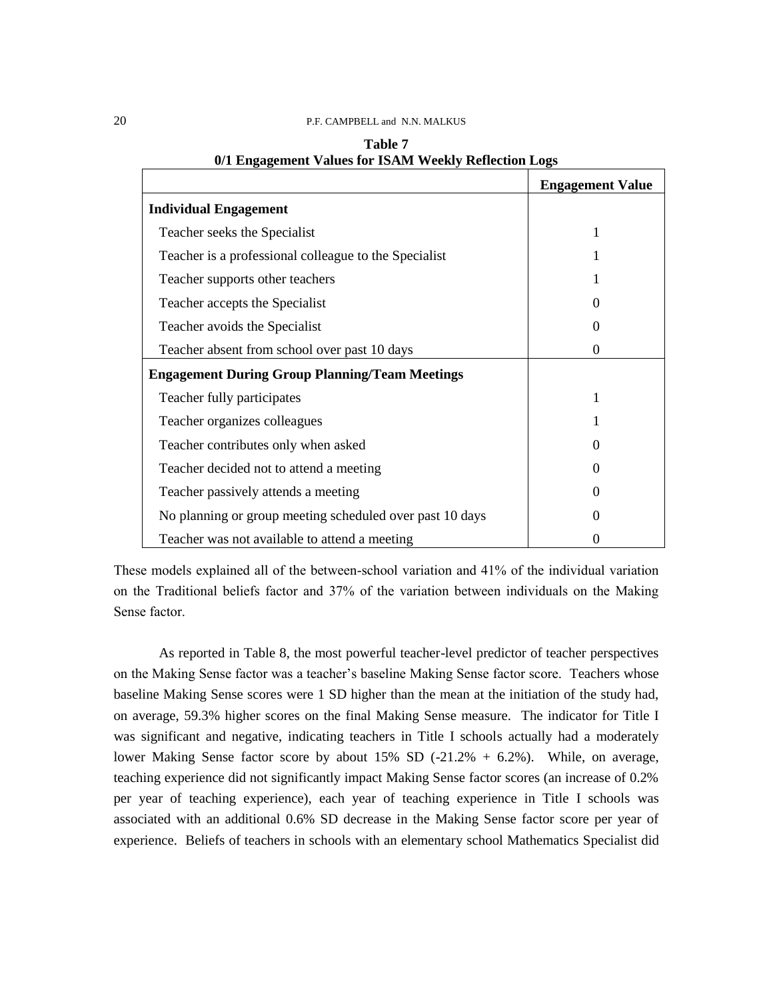|                                                          | <b>Engagement Value</b> |
|----------------------------------------------------------|-------------------------|
| <b>Individual Engagement</b>                             |                         |
| Teacher seeks the Specialist                             | 1                       |
| Teacher is a professional colleague to the Specialist    |                         |
| Teacher supports other teachers                          |                         |
| Teacher accepts the Specialist                           | 0                       |
| Teacher avoids the Specialist                            | $\Omega$                |
| Teacher absent from school over past 10 days             | $\theta$                |
| <b>Engagement During Group Planning/Team Meetings</b>    |                         |
| Teacher fully participates                               |                         |
| Teacher organizes colleagues                             |                         |
| Teacher contributes only when asked                      | 0                       |
| Teacher decided not to attend a meeting                  | $\Omega$                |
| Teacher passively attends a meeting                      |                         |
| No planning or group meeting scheduled over past 10 days | $\Omega$                |
| Teacher was not available to attend a meeting            |                         |

| Table 7                                               |  |  |
|-------------------------------------------------------|--|--|
| 0/1 Engagement Values for ISAM Weekly Reflection Logs |  |  |

These models explained all of the between-school variation and 41% of the individual variation on the Traditional beliefs factor and 37% of the variation between individuals on the Making Sense factor.

As reported in Table 8, the most powerful teacher-level predictor of teacher perspectives on the Making Sense factor was a teacher's baseline Making Sense factor score. Teachers whose baseline Making Sense scores were 1 SD higher than the mean at the initiation of the study had, on average, 59.3% higher scores on the final Making Sense measure. The indicator for Title I was significant and negative, indicating teachers in Title I schools actually had a moderately lower Making Sense factor score by about 15% SD (-21.2% + 6.2%). While, on average, teaching experience did not significantly impact Making Sense factor scores (an increase of 0.2% per year of teaching experience), each year of teaching experience in Title I schools was associated with an additional 0.6% SD decrease in the Making Sense factor score per year of experience. Beliefs of teachers in schools with an elementary school Mathematics Specialist did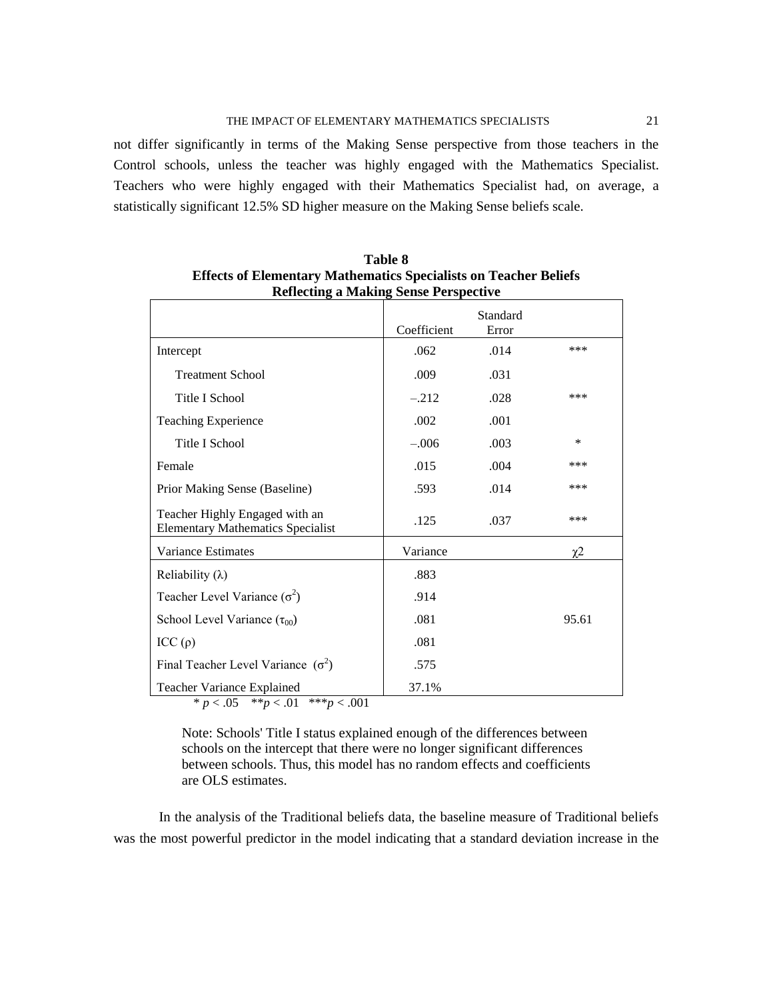not differ significantly in terms of the Making Sense perspective from those teachers in the Control schools, unless the teacher was highly engaged with the Mathematics Specialist. Teachers who were highly engaged with their Mathematics Specialist had, on average, a statistically significant 12.5% SD higher measure on the Making Sense beliefs scale.

|                                                                            | Coefficient | Standard<br>Error |        |
|----------------------------------------------------------------------------|-------------|-------------------|--------|
| Intercept                                                                  | .062        | .014              | ***    |
| <b>Treatment School</b>                                                    | .009        | .031              |        |
| Title I School                                                             | $-.212$     | .028              | ***    |
| <b>Teaching Experience</b>                                                 | .002        | .001              |        |
| Title I School                                                             | $-.006$     | .003              | $\ast$ |
| Female                                                                     | .015        | .004              | ***    |
| Prior Making Sense (Baseline)                                              | .593        | .014              | ***    |
| Teacher Highly Engaged with an<br><b>Elementary Mathematics Specialist</b> | .125        | .037              | ***    |
| Variance Estimates                                                         | Variance    |                   | χ2     |
| Reliability $(\lambda)$                                                    | .883        |                   |        |
| Teacher Level Variance $(\sigma^2)$                                        | .914        |                   |        |
| School Level Variance $(\tau_{00})$                                        | .081        |                   | 95.61  |
| ICC(p)                                                                     | .081        |                   |        |
| Final Teacher Level Variance $(\sigma^2)$                                  | .575        |                   |        |
| Teacher Variance Explained                                                 | 37.1%       |                   |        |

**Table 8 Effects of Elementary Mathematics Specialists on Teacher Beliefs Reflecting a Making Sense Perspective**

 $* p < .05$   $* p < .01$   $* \cdot p < .001$ 

Note: Schools' Title I status explained enough of the differences between schools on the intercept that there were no longer significant differences between schools. Thus, this model has no random effects and coefficients are OLS estimates.

In the analysis of the Traditional beliefs data, the baseline measure of Traditional beliefs was the most powerful predictor in the model indicating that a standard deviation increase in the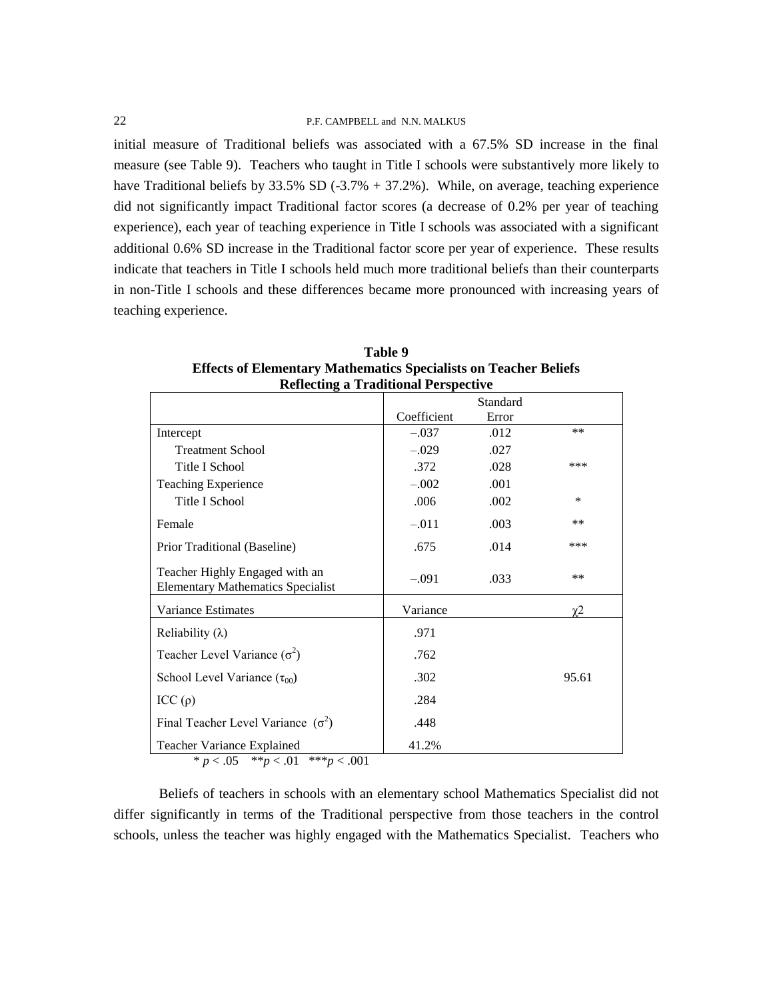initial measure of Traditional beliefs was associated with a 67.5% SD increase in the final measure (see Table 9). Teachers who taught in Title I schools were substantively more likely to have Traditional beliefs by 33.5% SD (-3.7% + 37.2%). While, on average, teaching experience did not significantly impact Traditional factor scores (a decrease of 0.2% per year of teaching experience), each year of teaching experience in Title I schools was associated with a significant additional 0.6% SD increase in the Traditional factor score per year of experience. These results indicate that teachers in Title I schools held much more traditional beliefs than their counterparts in non-Title I schools and these differences became more pronounced with increasing years of teaching experience.

|                                                                                                                                   | Coefficient | Standard      |          |
|-----------------------------------------------------------------------------------------------------------------------------------|-------------|---------------|----------|
|                                                                                                                                   | $-.037$     | Error<br>.012 | **       |
| Intercept                                                                                                                         |             |               |          |
| <b>Treatment School</b>                                                                                                           | $-.029$     | .027          |          |
| Title I School                                                                                                                    | .372        | .028          | ***      |
| <b>Teaching Experience</b>                                                                                                        | $-.002$     | .001          |          |
| Title I School                                                                                                                    | .006        | .002          | ∗        |
| Female                                                                                                                            | $-.011$     | .003          | $***$    |
| Prior Traditional (Baseline)                                                                                                      | .675        | .014          | ***      |
| Teacher Highly Engaged with an<br><b>Elementary Mathematics Specialist</b>                                                        | $-.091$     | .033          | $***$    |
| Variance Estimates                                                                                                                | Variance    |               | $\chi$ 2 |
| Reliability $(\lambda)$                                                                                                           | .971        |               |          |
| Teacher Level Variance $(\sigma^2)$                                                                                               | .762        |               |          |
| School Level Variance $(\tau_{00})$                                                                                               | .302        |               | 95.61    |
| ICC(p)                                                                                                                            | .284        |               |          |
| Final Teacher Level Variance $(\sigma^2)$                                                                                         | .448        |               |          |
| Teacher Variance Explained<br>$\bigcap_{i=1}^n A_i = \bigcup_{i=1}^n A_i$ and $\bigcap_{i=1}^n A_i = \bigcup_{i=1}^n A_i$<br>0.01 | 41.2%       |               |          |

| Table 9                                                                 |
|-------------------------------------------------------------------------|
| <b>Effects of Elementary Mathematics Specialists on Teacher Beliefs</b> |
| <b>Reflecting a Traditional Perspective</b>                             |

\*  $p < .05$  \*\* $p < .01$  \*\*\* $p < .001$ 

Beliefs of teachers in schools with an elementary school Mathematics Specialist did not differ significantly in terms of the Traditional perspective from those teachers in the control schools, unless the teacher was highly engaged with the Mathematics Specialist. Teachers who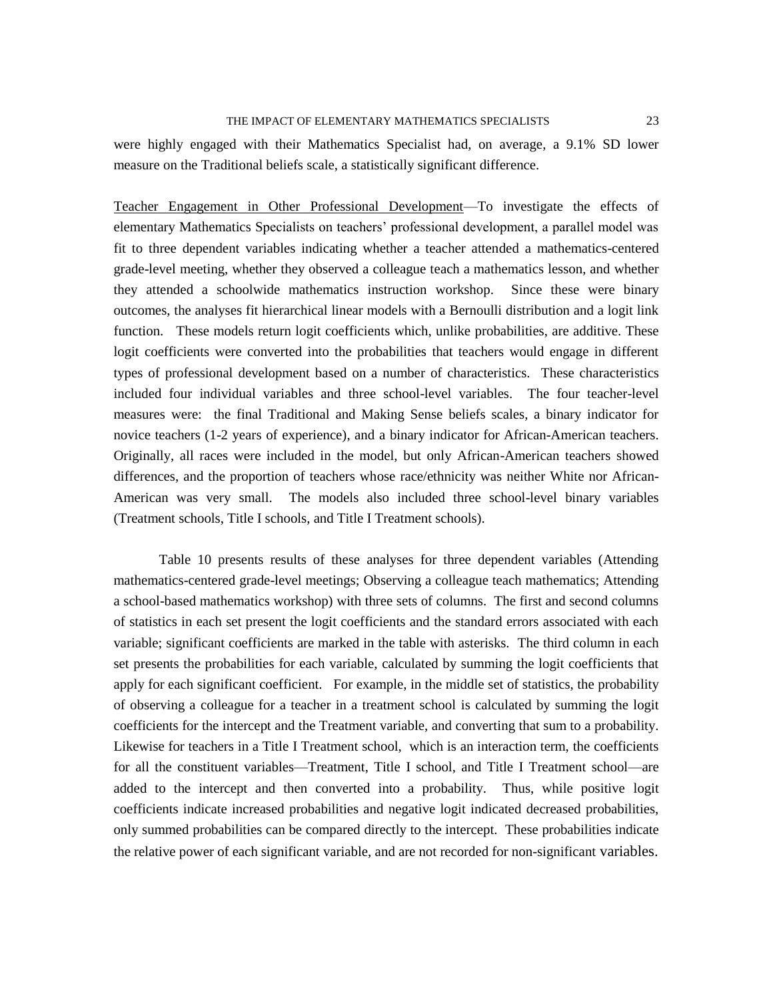were highly engaged with their Mathematics Specialist had, on average, a 9.1% SD lower measure on the Traditional beliefs scale, a statistically significant difference.

Teacher Engagement in Other Professional Development—To investigate the effects of elementary Mathematics Specialists on teachers' professional development, a parallel model was fit to three dependent variables indicating whether a teacher attended a mathematics-centered grade-level meeting, whether they observed a colleague teach a mathematics lesson, and whether they attended a schoolwide mathematics instruction workshop. Since these were binary outcomes, the analyses fit hierarchical linear models with a Bernoulli distribution and a logit link function. These models return logit coefficients which, unlike probabilities, are additive. These logit coefficients were converted into the probabilities that teachers would engage in different types of professional development based on a number of characteristics. These characteristics included four individual variables and three school-level variables. The four teacher-level measures were: the final Traditional and Making Sense beliefs scales, a binary indicator for novice teachers (1-2 years of experience), and a binary indicator for African-American teachers. Originally, all races were included in the model, but only African-American teachers showed differences, and the proportion of teachers whose race/ethnicity was neither White nor African-American was very small. The models also included three school-level binary variables (Treatment schools, Title I schools, and Title I Treatment schools).

Table 10 presents results of these analyses for three dependent variables (Attending mathematics-centered grade-level meetings; Observing a colleague teach mathematics; Attending a school-based mathematics workshop) with three sets of columns. The first and second columns of statistics in each set present the logit coefficients and the standard errors associated with each variable; significant coefficients are marked in the table with asterisks. The third column in each set presents the probabilities for each variable, calculated by summing the logit coefficients that apply for each significant coefficient. For example, in the middle set of statistics, the probability of observing a colleague for a teacher in a treatment school is calculated by summing the logit coefficients for the intercept and the Treatment variable, and converting that sum to a probability. Likewise for teachers in a Title I Treatment school, which is an interaction term, the coefficients for all the constituent variables—Treatment, Title I school, and Title I Treatment school—are added to the intercept and then converted into a probability. Thus, while positive logit coefficients indicate increased probabilities and negative logit indicated decreased probabilities, only summed probabilities can be compared directly to the intercept. These probabilities indicate the relative power of each significant variable, and are not recorded for non-significant variables.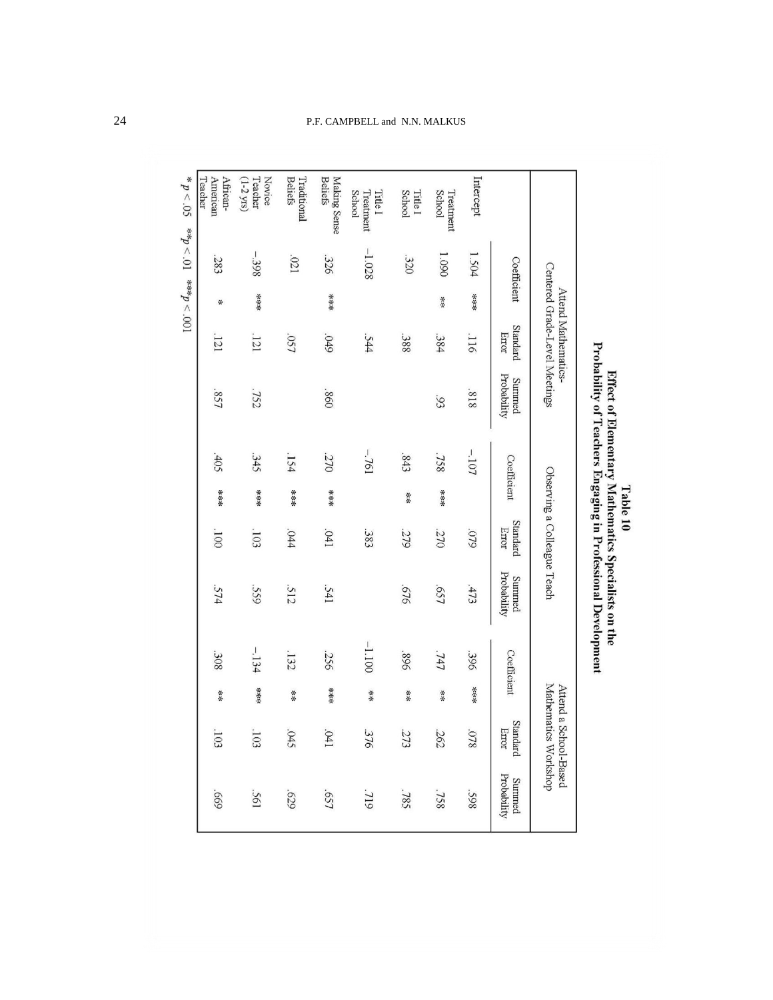|                                                 |                                                          |     |                                                      | Probability of Teachers Engaging in Professional Development |             |     |                             |                       |             |          |                                      |                       |
|-------------------------------------------------|----------------------------------------------------------|-----|------------------------------------------------------|--------------------------------------------------------------|-------------|-----|-----------------------------|-----------------------|-------------|----------|--------------------------------------|-----------------------|
|                                                 |                                                          |     | Centered Grade-Level Meetings<br>Attend Mathematics. |                                                              |             |     | Observing a Colleague Teach |                       |             | Attend a | Mathematics Workshop<br>School-Based |                       |
|                                                 | Coefficient                                              |     | Standard<br>Error                                    | Probability<br>Summed                                        | Coefficient |     | Standard<br>Error           | Probability<br>Summed | Coefficient |          | Standard<br>Error                    | Probability<br>Summed |
| Intercept                                       | 1.504                                                    | *** | .116                                                 | 818                                                          | $-107$      |     | 640                         | 513                   | 396         | ***      | .078                                 | <b>S6S</b>            |
| School<br>Treatment                             | 1.090                                                    | 米米  | .384                                                 | 93                                                           | .758        | 法法法 | 270                         | LS9                   | .747        | 米米       | 262                                  | .758                  |
| School<br><b>Title I</b>                        | .320                                                     |     | .388                                                 |                                                              | .843        | 米米  | 279                         | 919                   | 968         | 米米       | 273                                  | .785                  |
| School<br>Treatment<br><b>Title I</b>           | $-1.028$                                                 |     | .544                                                 |                                                              | $-761$      |     | .383                        |                       | $-1.100$    | ∗*       | 376                                  | 61L                   |
| <b>Beliefs</b><br>Making Sense                  | .326                                                     | 米米米 | .049                                                 | .860                                                         | 270         | 法法法 | .041                        | .541                  | .256        | 法法法      | .041                                 | .657                  |
| <b>Beliefs</b><br>Traditional                   | .021                                                     |     | .057                                                 |                                                              | $-154$      | 法法法 | .044                        | 512                   | 132         | 法法       | .045                                 | 679                   |
| Teacher<br>Novice<br>$(1-2 \text{ }\text{yrs})$ | $-398$                                                   | *** | .121                                                 | .752                                                         | 345         | 法法法 | $-103$                      | 559                   | $-134$      | 法法宗      | $-103$                               | .561                  |
| Teacher<br>American<br>African-                 | .283                                                     | ⋇   | 121                                                  | .857                                                         | $-405$      | 米米米 | 001                         | 574                   | 308         | 米米       | $.103$                               | 699                   |
| ${}^{*}p < .05$                                 | $100^\circ > d_{\text{swk}}$ $10^\circ > d_{\text{wsk}}$ |     |                                                      |                                                              |             |     |                             |                       |             |          |                                      |                       |

# Table 10<br>Effect of Elementary Mathematics Specialists on the<br>Probability of Teachers Engaging in Professional Developn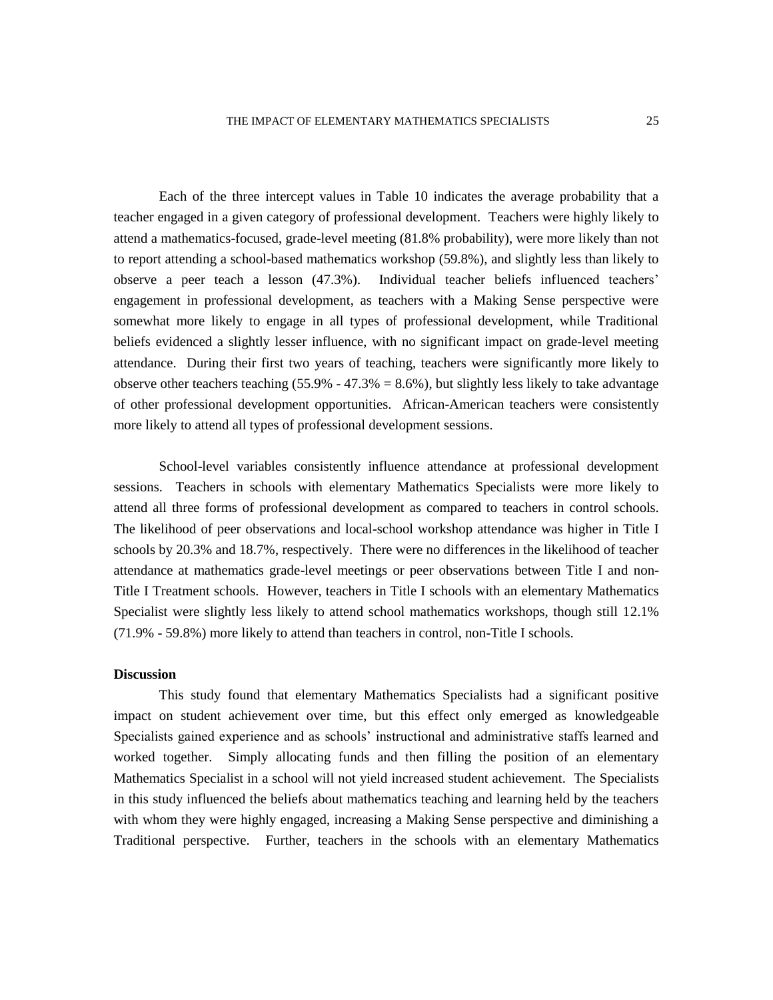Each of the three intercept values in Table 10 indicates the average probability that a teacher engaged in a given category of professional development. Teachers were highly likely to attend a mathematics-focused, grade-level meeting (81.8% probability), were more likely than not to report attending a school-based mathematics workshop (59.8%), and slightly less than likely to observe a peer teach a lesson (47.3%). Individual teacher beliefs influenced teachers' engagement in professional development, as teachers with a Making Sense perspective were somewhat more likely to engage in all types of professional development, while Traditional beliefs evidenced a slightly lesser influence, with no significant impact on grade-level meeting attendance. During their first two years of teaching, teachers were significantly more likely to observe other teachers teaching  $(55.9\% - 47.3\% = 8.6\%)$ , but slightly less likely to take advantage of other professional development opportunities. African-American teachers were consistently more likely to attend all types of professional development sessions.

School-level variables consistently influence attendance at professional development sessions. Teachers in schools with elementary Mathematics Specialists were more likely to attend all three forms of professional development as compared to teachers in control schools. The likelihood of peer observations and local-school workshop attendance was higher in Title I schools by 20.3% and 18.7%, respectively. There were no differences in the likelihood of teacher attendance at mathematics grade-level meetings or peer observations between Title I and non-Title I Treatment schools. However, teachers in Title I schools with an elementary Mathematics Specialist were slightly less likely to attend school mathematics workshops, though still 12.1% (71.9% - 59.8%) more likely to attend than teachers in control, non-Title I schools.

# **Discussion**

This study found that elementary Mathematics Specialists had a significant positive impact on student achievement over time, but this effect only emerged as knowledgeable Specialists gained experience and as schools' instructional and administrative staffs learned and worked together. Simply allocating funds and then filling the position of an elementary Mathematics Specialist in a school will not yield increased student achievement. The Specialists in this study influenced the beliefs about mathematics teaching and learning held by the teachers with whom they were highly engaged, increasing a Making Sense perspective and diminishing a Traditional perspective. Further, teachers in the schools with an elementary Mathematics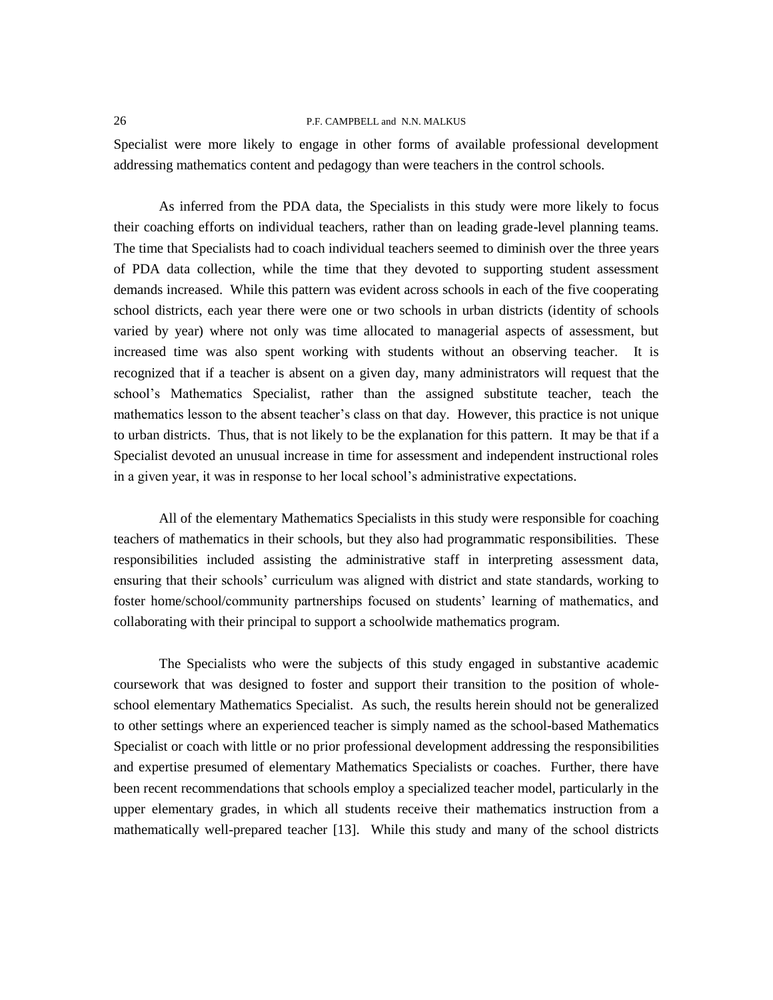Specialist were more likely to engage in other forms of available professional development addressing mathematics content and pedagogy than were teachers in the control schools.

As inferred from the PDA data, the Specialists in this study were more likely to focus their coaching efforts on individual teachers, rather than on leading grade-level planning teams. The time that Specialists had to coach individual teachers seemed to diminish over the three years of PDA data collection, while the time that they devoted to supporting student assessment demands increased. While this pattern was evident across schools in each of the five cooperating school districts, each year there were one or two schools in urban districts (identity of schools varied by year) where not only was time allocated to managerial aspects of assessment, but increased time was also spent working with students without an observing teacher. It is recognized that if a teacher is absent on a given day, many administrators will request that the school's Mathematics Specialist, rather than the assigned substitute teacher, teach the mathematics lesson to the absent teacher's class on that day. However, this practice is not unique to urban districts. Thus, that is not likely to be the explanation for this pattern. It may be that if a Specialist devoted an unusual increase in time for assessment and independent instructional roles in a given year, it was in response to her local school's administrative expectations.

All of the elementary Mathematics Specialists in this study were responsible for coaching teachers of mathematics in their schools, but they also had programmatic responsibilities. These responsibilities included assisting the administrative staff in interpreting assessment data, ensuring that their schools' curriculum was aligned with district and state standards, working to foster home/school/community partnerships focused on students' learning of mathematics, and collaborating with their principal to support a schoolwide mathematics program.

The Specialists who were the subjects of this study engaged in substantive academic coursework that was designed to foster and support their transition to the position of wholeschool elementary Mathematics Specialist. As such, the results herein should not be generalized to other settings where an experienced teacher is simply named as the school-based Mathematics Specialist or coach with little or no prior professional development addressing the responsibilities and expertise presumed of elementary Mathematics Specialists or coaches. Further, there have been recent recommendations that schools employ a specialized teacher model, particularly in the upper elementary grades, in which all students receive their mathematics instruction from a mathematically well-prepared teacher [13]. While this study and many of the school districts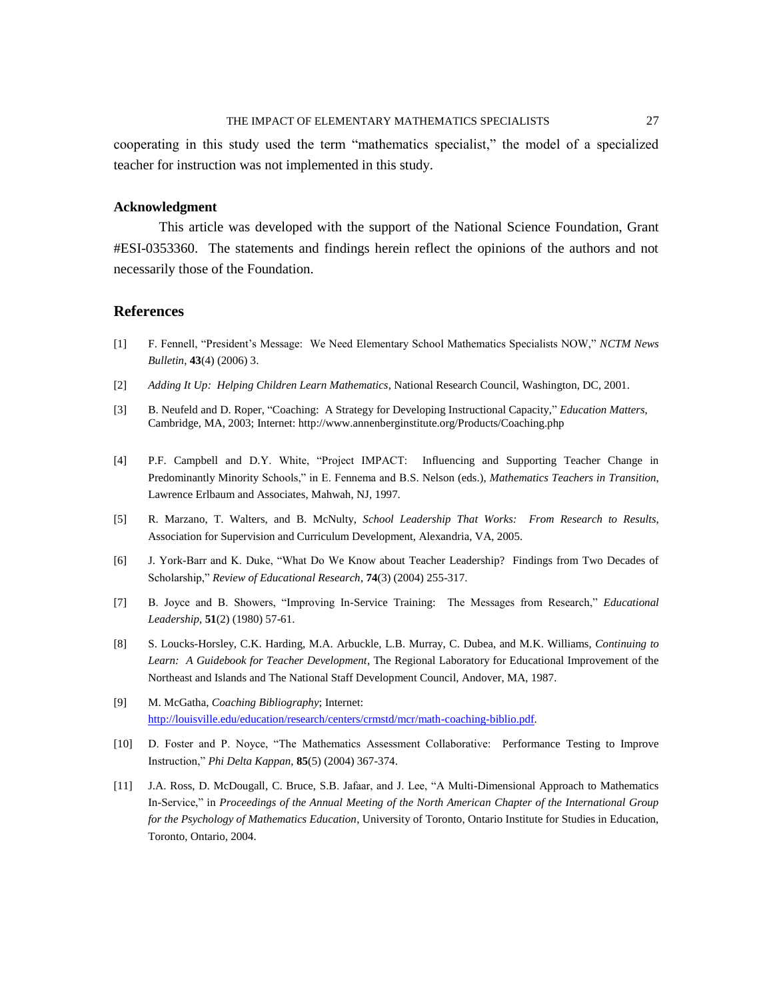cooperating in this study used the term "mathematics specialist," the model of a specialized teacher for instruction was not implemented in this study.

### **Acknowledgment**

This article was developed with the support of the National Science Foundation, Grant #ESI-0353360. The statements and findings herein reflect the opinions of the authors and not necessarily those of the Foundation.

# **References**

- [1] F. Fennell, "President's Message: We Need Elementary School Mathematics Specialists NOW," *NCTM News Bulletin*, **43**(4) (2006) 3.
- [2] *Adding It Up: Helping Children Learn Mathematics*, National Research Council, Washington, DC, 2001.
- [3] B. Neufeld and D. Roper, "Coaching: A Strategy for Developing Instructional Capacity," *Education Matters*, Cambridge, MA, 2003; Internet: http://www.annenberginstitute.org/Products/Coaching.php
- [4] P.F. Campbell and D.Y. White, "Project IMPACT: Influencing and Supporting Teacher Change in Predominantly Minority Schools," in E. Fennema and B.S. Nelson (eds.), *Mathematics Teachers in Transition*, Lawrence Erlbaum and Associates, Mahwah, NJ, 1997.
- [5] R. Marzano, T. Walters, and B. McNulty, *School Leadership That Works: From Research to Results*, Association for Supervision and Curriculum Development, Alexandria, VA, 2005.
- [6] J. York-Barr and K. Duke, "What Do We Know about Teacher Leadership? Findings from Two Decades of Scholarship," *Review of Educational Research*, **74**(3) (2004) 255-317.
- [7] B. Joyce and B. Showers, "Improving In-Service Training: The Messages from Research," *Educational Leadership*, **51**(2) (1980) 57-61.
- [8] S. Loucks-Horsley, C.K. Harding, M.A. Arbuckle, L.B. Murray, C. Dubea, and M.K. Williams, *Continuing to Learn: A Guidebook for Teacher Development*, The Regional Laboratory for Educational Improvement of the Northeast and Islands and The National Staff Development Council, Andover, MA, 1987.
- [9] M. McGatha, *Coaching Bibliography*; Internet: [http://louisville.edu/education/research/centers/crmstd/mcr/math-coaching-biblio.pdf.](http://louisville.edu/education/research/centers/crmstd/mcr/math-coaching-biblio.pdf)
- [10] D. Foster and P. Noyce, "The Mathematics Assessment Collaborative: Performance Testing to Improve Instruction,‖ *Phi Delta Kappan*, **85**(5) (2004) 367-374.
- [11] J.A. Ross, D. McDougall, C. Bruce, S.B. Jafaar, and J. Lee, "A Multi-Dimensional Approach to Mathematics In-Service," in *Proceedings of the Annual Meeting of the North American Chapter of the International Group for the Psychology of Mathematics Education*, University of Toronto, Ontario Institute for Studies in Education, Toronto, Ontario, 2004.